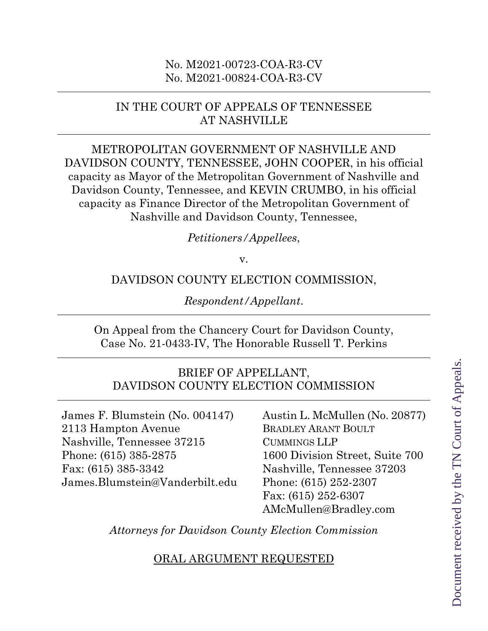### No. M2021-00723-COA-R3-CV No. M2021-00824-COA-R3-CV

## IN THE COURT OF APPEALS OF TENNESSEE AT NASHVILLE

METROPOLITAN GOVERNMENT OF NASHVILLE AND DAVIDSON COUNTY, TENNESSEE, JOHN COOPER, in his official capacity as Mayor of the Metropolitan Government of Nashville and Davidson County, Tennessee, and KEVIN CRUMBO, in his official capacity as Finance Director of the Metropolitan Government of Nashville and Davidson County, Tennessee,

#### *Petitioners/Appellees*,

v.

### DAVIDSON COUNTY ELECTION COMMISSION,

*Respondent/Appellant*.

On Appeal from the Chancery Court for Davidson County, Case No. 21-0433-IV, The Honorable Russell T. Perkins

### BRIEF OF APPELLANT, DAVIDSON COUNTY ELECTION COMMISSION

James F. Blumstein (No. 004147) Austin L. McMullen (No. 20877) 2113 Hampton Avenue BRADLEY ARANT BOULT Nashville, Tennessee 37215 CUMMINGS LLP Phone: (615) 385-2875 1600 Division Street, Suite 700 Fax: (615) 385-3342 Nashville, Tennessee 37203 James.Blumstein@Vanderbilt.edu Phone: (615) 252-2307

 Fax: (615) 252-6307 AMcMullen@Bradley.com

*Attorneys for Davidson County Election Commission* 

ORAL ARGUMENT REQUESTED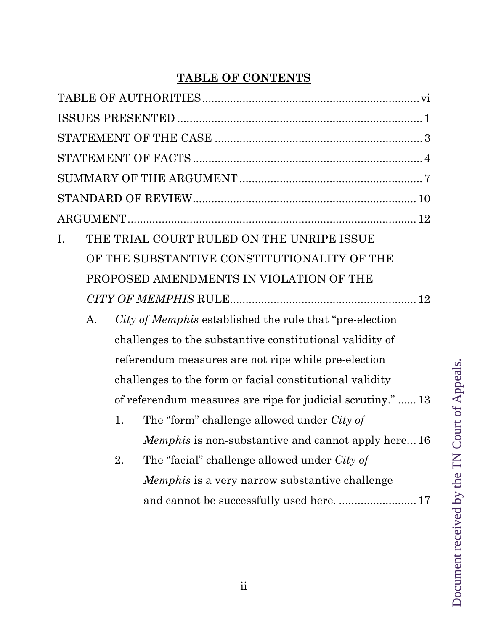# **TABLE OF CONTENTS**

| THE TRIAL COURT RULED ON THE UNRIPE ISSUE<br>I.                |  |
|----------------------------------------------------------------|--|
| OF THE SUBSTANTIVE CONSTITUTIONALITY OF THE                    |  |
| PROPOSED AMENDMENTS IN VIOLATION OF THE                        |  |
|                                                                |  |
| City of Memphis established the rule that "pre-election"<br>A. |  |
| challenges to the substantive constitutional validity of       |  |
| referendum measures are not ripe while pre-election            |  |
| challenges to the form or facial constitutional validity       |  |
| of referendum measures are ripe for judicial scrutiny."13      |  |
| The "form" challenge allowed under <i>City of</i><br>1.        |  |
| <i>Memphis</i> is non-substantive and cannot apply here16      |  |
| The "facial" challenge allowed under City of<br>2.             |  |
| <i>Memphis</i> is a very narrow substantive challenge          |  |
|                                                                |  |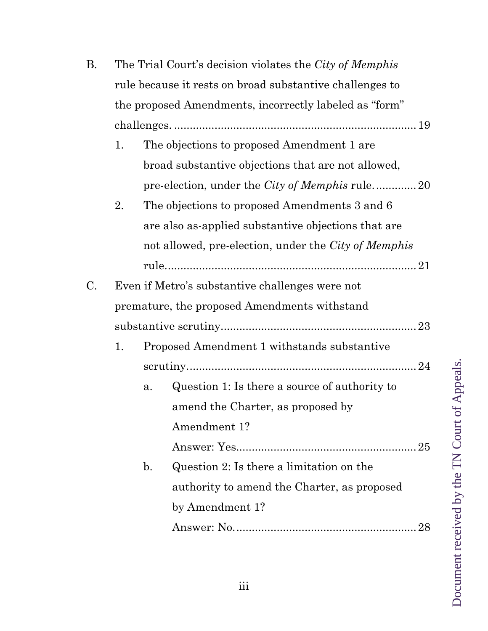| В.                                           | The Trial Court's decision violates the City of Memphis |                |                                                          |
|----------------------------------------------|---------------------------------------------------------|----------------|----------------------------------------------------------|
|                                              |                                                         |                | rule because it rests on broad substantive challenges to |
|                                              |                                                         |                | the proposed Amendments, incorrectly labeled as "form"   |
|                                              |                                                         |                |                                                          |
|                                              | 1.                                                      |                | The objections to proposed Amendment 1 are               |
|                                              |                                                         |                | broad substantive objections that are not allowed,       |
|                                              |                                                         |                | pre-election, under the <i>City of Memphis</i> rule20    |
|                                              | 2.                                                      |                | The objections to proposed Amendments 3 and 6            |
|                                              |                                                         |                | are also as-applied substantive objections that are      |
|                                              |                                                         |                | not allowed, pre-election, under the City of Memphis     |
|                                              |                                                         |                |                                                          |
| C.                                           |                                                         |                | Even if Metro's substantive challenges were not          |
| premature, the proposed Amendments withstand |                                                         |                |                                                          |
|                                              |                                                         |                |                                                          |
|                                              | 1.                                                      |                | Proposed Amendment 1 withstands substantive              |
|                                              |                                                         |                |                                                          |
|                                              |                                                         | a.             | Question 1: Is there a source of authority to            |
|                                              |                                                         |                | amend the Charter, as proposed by                        |
|                                              |                                                         |                | Amendment 1?                                             |
|                                              |                                                         |                |                                                          |
|                                              |                                                         | $\mathbf{b}$ . | Question 2: Is there a limitation on the                 |
|                                              |                                                         |                | authority to amend the Charter, as proposed              |
|                                              |                                                         |                | by Amendment 1?                                          |
|                                              |                                                         |                | 28                                                       |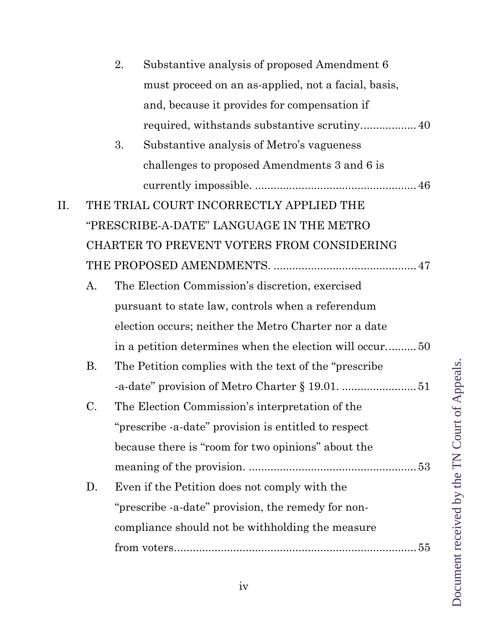|     |    | 2. | Substantive analysis of proposed Amendment 6            |
|-----|----|----|---------------------------------------------------------|
|     |    |    | must proceed on an as-applied, not a facial, basis,     |
|     |    |    | and, because it provides for compensation if            |
|     |    |    |                                                         |
|     |    | 3. | Substantive analysis of Metro's vagueness               |
|     |    |    | challenges to proposed Amendments 3 and 6 is            |
|     |    |    |                                                         |
| II. |    |    | THE TRIAL COURT INCORRECTLY APPLIED THE                 |
|     |    |    | "PRESCRIBE-A-DATE" LANGUAGE IN THE METRO                |
|     |    |    | CHARTER TO PREVENT VOTERS FROM CONSIDERING              |
|     |    |    |                                                         |
|     | A. |    | The Election Commission's discretion, exercised         |
|     |    |    | pursuant to state law, controls when a referendum       |
|     |    |    | election occurs; neither the Metro Charter nor a date   |
|     |    |    | in a petition determines when the election will occur50 |
|     | Β. |    | The Petition complies with the text of the "prescribe"  |
|     |    |    |                                                         |
|     | C. |    | The Election Commission's interpretation of the         |
|     |    |    | "prescribe -a-date" provision is entitled to respect    |
|     |    |    | because there is "room for two opinions" about the      |
|     |    |    |                                                         |
|     | D. |    | Even if the Petition does not comply with the           |
|     |    |    | "prescribe -a-date" provision, the remedy for non-      |
|     |    |    | compliance should not be withholding the measure        |
|     |    |    |                                                         |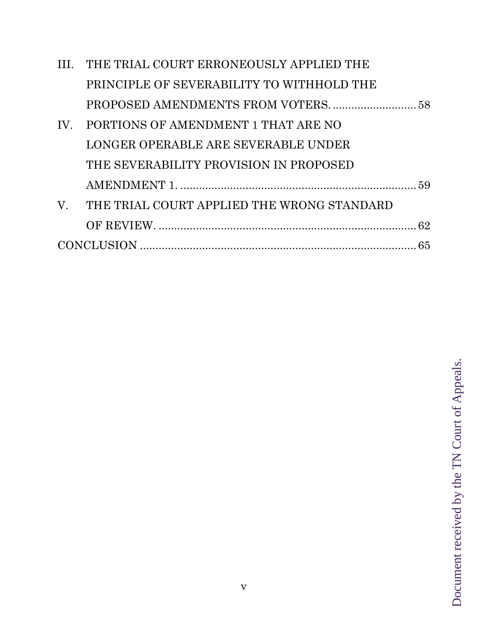|             | III. THE TRIAL COURT ERRONEOUSLY APPLIED THE |  |
|-------------|----------------------------------------------|--|
|             | PRINCIPLE OF SEVERABILITY TO WITHHOLD THE    |  |
|             |                                              |  |
| IV.         | PORTIONS OF AMENDMENT 1 THAT ARE NO          |  |
|             | LONGER OPERABLE ARE SEVERABLE UNDER          |  |
|             | THE SEVERABILITY PROVISION IN PROPOSED       |  |
|             |                                              |  |
| $V_{\cdot}$ | THE TRIAL COURT APPLIED THE WRONG STANDARD   |  |
|             |                                              |  |
|             |                                              |  |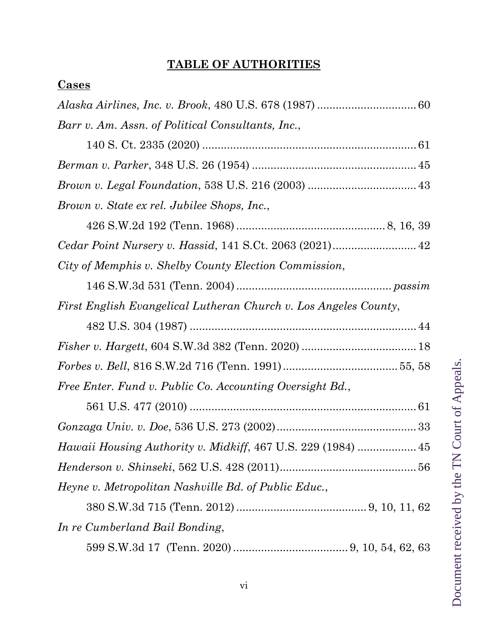## **TABLE OF AUTHORITIES**

## **Cases**

| Barr v. Am. Assn. of Political Consultants, Inc.,                |
|------------------------------------------------------------------|
|                                                                  |
|                                                                  |
|                                                                  |
| Brown v. State ex rel. Jubilee Shops, Inc.,                      |
|                                                                  |
|                                                                  |
| City of Memphis v. Shelby County Election Commission,            |
|                                                                  |
| First English Evangelical Lutheran Church v. Los Angeles County, |
|                                                                  |
|                                                                  |
|                                                                  |
| Free Enter. Fund v. Public Co. Accounting Oversight Bd.,         |
|                                                                  |
|                                                                  |
| Hawaii Housing Authority v. Midkiff, 467 U.S. 229 (1984)  45     |
|                                                                  |
| Heyne v. Metropolitan Nashville Bd. of Public Educ.,             |
|                                                                  |
| In re Cumberland Bail Bonding,                                   |
|                                                                  |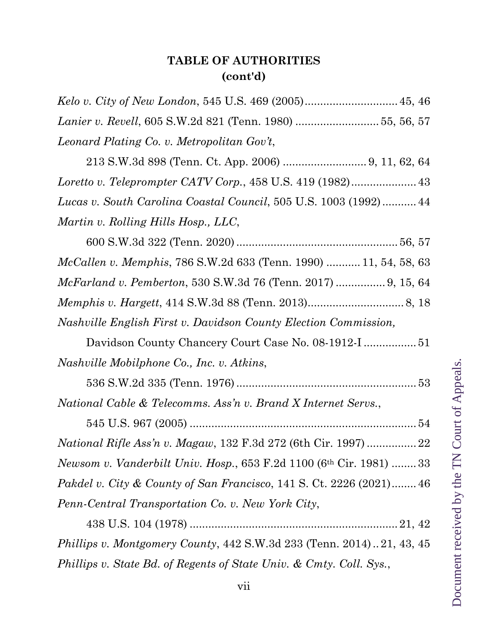## **TABLE OF AUTHORITIES (cont'd)**

| Lanier v. Revell, 605 S.W.2d 821 (Tenn. 1980) 55, 56, 57                                |
|-----------------------------------------------------------------------------------------|
| Leonard Plating Co. v. Metropolitan Gov't,                                              |
| 213 S.W.3d 898 (Tenn. Ct. App. 2006)  9, 11, 62, 64                                     |
|                                                                                         |
| Lucas v. South Carolina Coastal Council, 505 U.S. 1003 (1992) 44                        |
| Martin v. Rolling Hills Hosp., LLC,                                                     |
|                                                                                         |
| <i>McCallen v. Memphis, 786 S.W.2d 633 (Tenn. 1990)  11, 54, 58, 63</i>                 |
| <i>McFarland v. Pemberton,</i> 530 S.W.3d 76 (Tenn. 2017)  9, 15, 64                    |
|                                                                                         |
| Nashville English First v. Davidson County Election Commission,                         |
|                                                                                         |
| Nashville Mobilphone Co., Inc. v. Atkins,                                               |
|                                                                                         |
| National Cable & Telecomms. Ass'n v. Brand X Internet Servs.,                           |
|                                                                                         |
|                                                                                         |
| <i>Newsom v. Vanderbilt Univ. Hosp.</i> , 653 F.2d 1100 (6 <sup>th</sup> Cir. 1981)  33 |
| <i>Pakdel v. City &amp; County of San Francisco</i> , 141 S. Ct. 2226 (2021) 46         |
| Penn-Central Transportation Co. v. New York City,                                       |
|                                                                                         |
| Phillips v. Montgomery County, 442 S.W.3d 233 (Tenn. 2014)21, 43, 45                    |
| Phillips v. State Bd. of Regents of State Univ. & Cmty. Coll. Sys.,                     |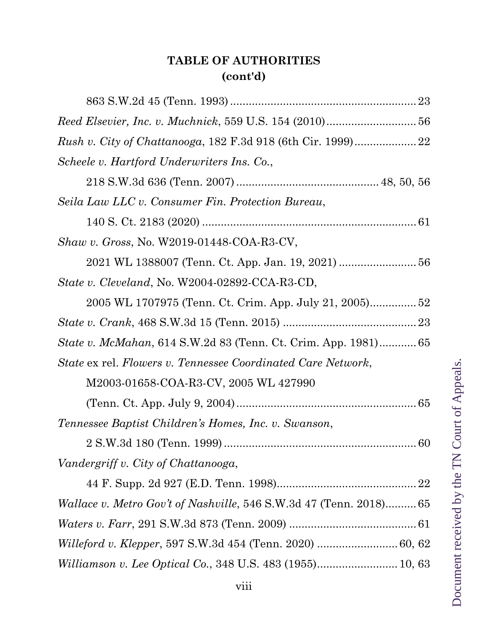## **TABLE OF AUTHORITIES (cont'd)**

| Scheele v. Hartford Underwriters Ins. Co.,                           |
|----------------------------------------------------------------------|
|                                                                      |
| Seila Law LLC v. Consumer Fin. Protection Bureau,                    |
|                                                                      |
| <i>Shaw v. Gross, No. W2019-01448-COA-R3-CV,</i>                     |
|                                                                      |
| <i>State v. Cleveland, No. W2004-02892-CCA-R3-CD,</i>                |
|                                                                      |
|                                                                      |
| <i>State v. McMahan,</i> 614 S.W.2d 83 (Tenn. Ct. Crim. App. 1981)65 |
| State ex rel. Flowers v. Tennessee Coordinated Care Network,         |
| M2003-01658-COA-R3-CV, 2005 WL 427990                                |
|                                                                      |
| Tennessee Baptist Children's Homes, Inc. v. Swanson,                 |
|                                                                      |
| Vandergriff v. City of Chattanooga,                                  |
|                                                                      |
| Wallace v. Metro Gov't of Nashville, 546 S.W.3d 47 (Tenn. 2018) 65   |
|                                                                      |
|                                                                      |
| Williamson v. Lee Optical Co., 348 U.S. 483 (1955) 10, 63            |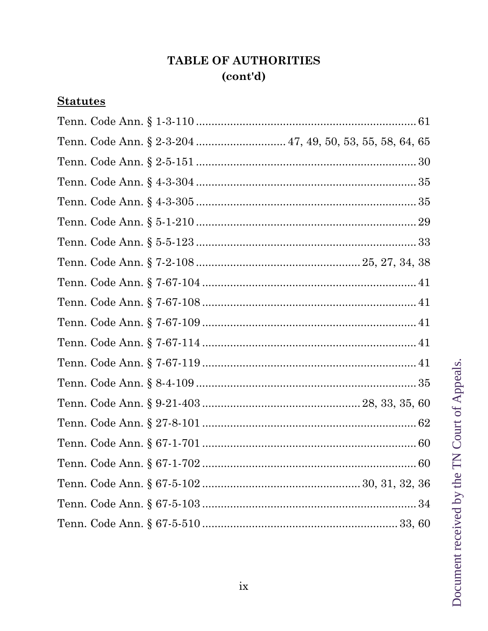## **TABLE OF AUTHORITIES**  $(cont'd)$

## **Statutes**

| Tenn. Code Ann. § 2-3-204  47, 49, 50, 53, 55, 58, 64, 65 |  |
|-----------------------------------------------------------|--|
|                                                           |  |
|                                                           |  |
|                                                           |  |
|                                                           |  |
|                                                           |  |
|                                                           |  |
|                                                           |  |
|                                                           |  |
|                                                           |  |
|                                                           |  |
|                                                           |  |
|                                                           |  |
|                                                           |  |
|                                                           |  |
|                                                           |  |
|                                                           |  |
|                                                           |  |
|                                                           |  |
|                                                           |  |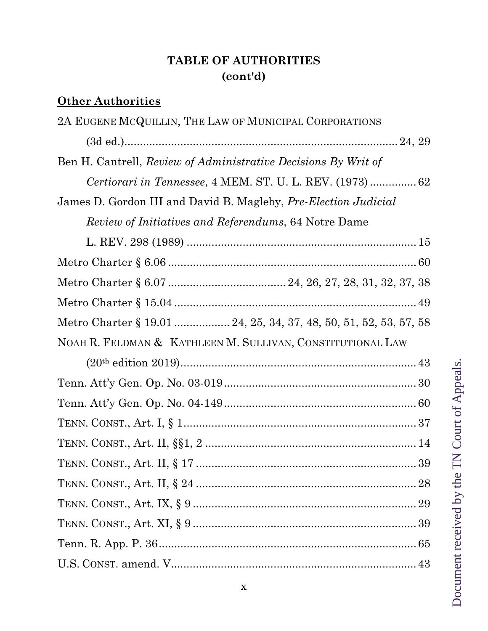## **TABLE OF AUTHORITIES (cont'd)**

# **Other Authorities**

| 2A EUGENE MCQUILLIN, THE LAW OF MUNICIPAL CORPORATIONS            |
|-------------------------------------------------------------------|
|                                                                   |
| Ben H. Cantrell, Review of Administrative Decisions By Writ of    |
|                                                                   |
| James D. Gordon III and David B. Magleby, Pre-Election Judicial   |
| <i>Review of Initiatives and Referendums, 64 Notre Dame</i>       |
|                                                                   |
|                                                                   |
|                                                                   |
|                                                                   |
| Metro Charter § 19.01  24, 25, 34, 37, 48, 50, 51, 52, 53, 57, 58 |
| NOAH R. FELDMAN & KATHLEEN M. SULLIVAN, CONSTITUTIONAL LAW        |
|                                                                   |
|                                                                   |
|                                                                   |
|                                                                   |
|                                                                   |
|                                                                   |
|                                                                   |
|                                                                   |
|                                                                   |
|                                                                   |
|                                                                   |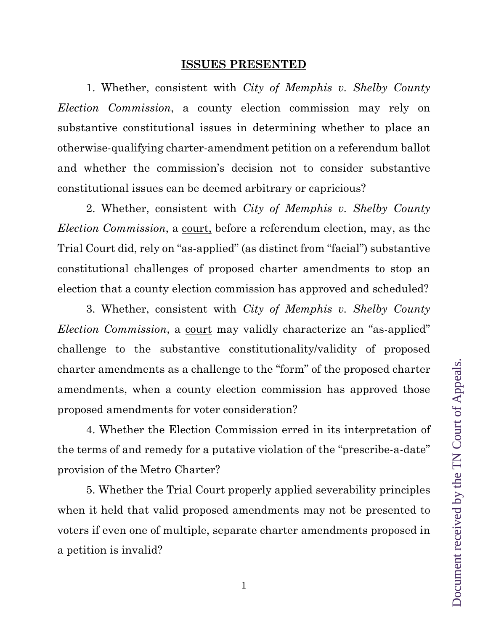#### **ISSUES PRESENTED**

1. Whether, consistent with *City of Memphis v. Shelby County Election Commission*, a county election commission may rely on substantive constitutional issues in determining whether to place an otherwise-qualifying charter-amendment petition on a referendum ballot and whether the commission's decision not to consider substantive constitutional issues can be deemed arbitrary or capricious?

2. Whether, consistent with *City of Memphis v. Shelby County Election Commission*, a court, before a referendum election, may, as the Trial Court did, rely on "as-applied" (as distinct from "facial") substantive constitutional challenges of proposed charter amendments to stop an election that a county election commission has approved and scheduled?

3. Whether, consistent with *City of Memphis v. Shelby County Election Commission*, a <u>court</u> may validly characterize an "as-applied" challenge to the substantive constitutionality/validity of proposed charter amendments as a challenge to the "form" of the proposed charter amendments, when a county election commission has approved those proposed amendments for voter consideration?

4. Whether the Election Commission erred in its interpretation of the terms of and remedy for a putative violation of the "prescribe-a-date" provision of the Metro Charter?

5. Whether the Trial Court properly applied severability principles when it held that valid proposed amendments may not be presented to voters if even one of multiple, separate charter amendments proposed in a petition is invalid?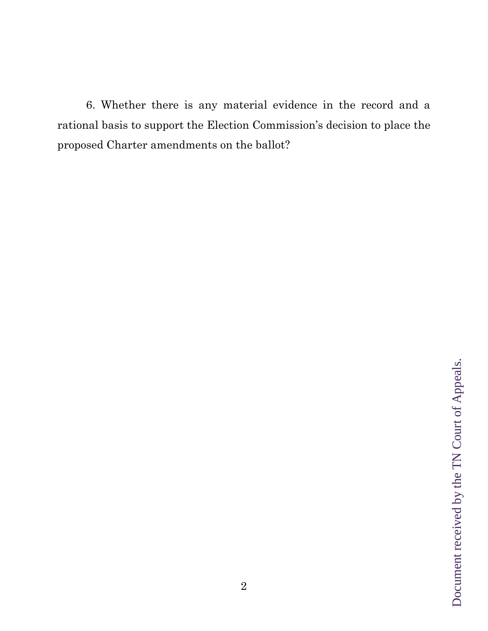6. Whether there is any material evidence in the record and a rational basis to support the Election Commission's decision to place the proposed Charter amendments on the ballot?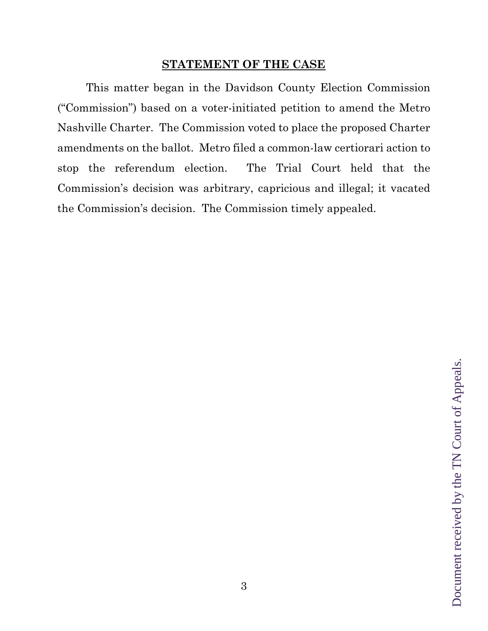### **STATEMENT OF THE CASE**

This matter began in the Davidson County Election Commission ("Commission") based on a voter-initiated petition to amend the Metro Nashville Charter. The Commission voted to place the proposed Charter amendments on the ballot. Metro filed a common-law certiorari action to stop the referendum election. The Trial Court held that the Commission's decision was arbitrary, capricious and illegal; it vacated the Commission's decision. The Commission timely appealed.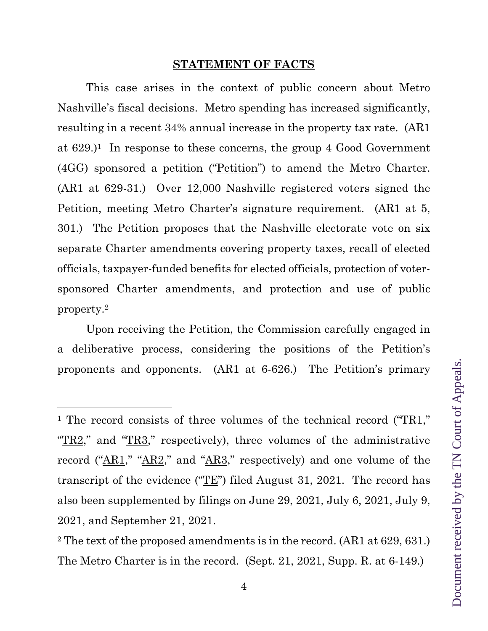#### **STATEMENT OF FACTS**

This case arises in the context of public concern about Metro Nashville's fiscal decisions. Metro spending has increased significantly, resulting in a recent 34% annual increase in the property tax rate. (AR1 at  $629.$ <sup>1</sup> In response to these concerns, the group 4 Good Government (4GG) sponsored a petition ("Petition") to amend the Metro Charter. (AR1 at 629-31.) Over 12,000 Nashville registered voters signed the Petition, meeting Metro Charter's signature requirement. (AR1 at 5, 301.) The Petition proposes that the Nashville electorate vote on six separate Charter amendments covering property taxes, recall of elected officials, taxpayer-funded benefits for elected officials, protection of votersponsored Charter amendments, and protection and use of public property.2

Upon receiving the Petition, the Commission carefully engaged in a deliberative process, considering the positions of the Petition's proponents and opponents. (AR1 at 6-626.) The Petition's primary

<sup>&</sup>lt;sup>1</sup> The record consists of three volumes of the technical record ("TR1," " $TR2$ ," and " $TR3$ ," respectively), three volumes of the administrative record ("AR1," "AR2," and "AR3," respectively) and one volume of the transcript of the evidence (" $TE$ ") filed August 31, 2021. The record has also been supplemented by filings on June 29, 2021, July 6, 2021, July 9, 2021, and September 21, 2021.

<sup>2</sup> The text of the proposed amendments is in the record. (AR1 at 629, 631.) The Metro Charter is in the record. (Sept. 21, 2021, Supp. R. at 6-149.)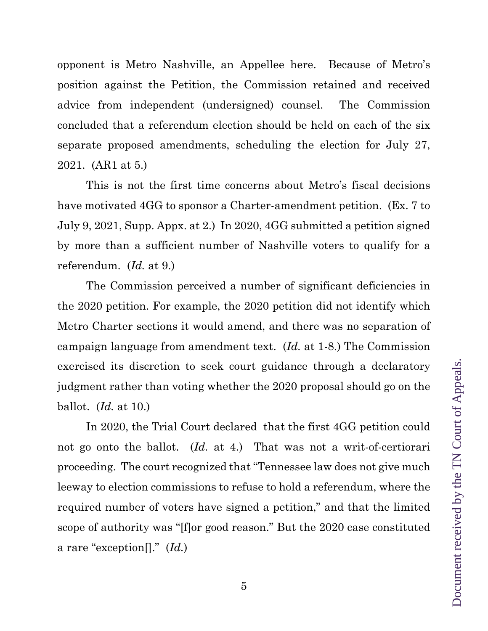opponent is Metro Nashville, an Appellee here. Because of Metro's position against the Petition, the Commission retained and received advice from independent (undersigned) counsel. The Commission concluded that a referendum election should be held on each of the six separate proposed amendments, scheduling the election for July 27, 2021. (AR1 at 5.)

This is not the first time concerns about Metro's fiscal decisions have motivated 4GG to sponsor a Charter-amendment petition. (Ex. 7 to July 9, 2021, Supp. Appx. at 2.) In 2020, 4GG submitted a petition signed by more than a sufficient number of Nashville voters to qualify for a referendum. (*Id.* at 9.)

The Commission perceived a number of significant deficiencies in the 2020 petition. For example, the 2020 petition did not identify which Metro Charter sections it would amend, and there was no separation of campaign language from amendment text. (*Id.* at 1-8.) The Commission exercised its discretion to seek court guidance through a declaratory judgment rather than voting whether the 2020 proposal should go on the ballot. (*Id.* at 10.)

In 2020, the Trial Court declared that the first 4GG petition could not go onto the ballot. (*Id.* at 4.) That was not a writ-of-certiorari proceeding. The court recognized that "Tennessee law does not give much leeway to election commissions to refuse to hold a referendum, where the required number of voters have signed a petition," and that the limited scope of authority was "[f]or good reason." But the 2020 case constituted a rare "exception[]." (*Id.*)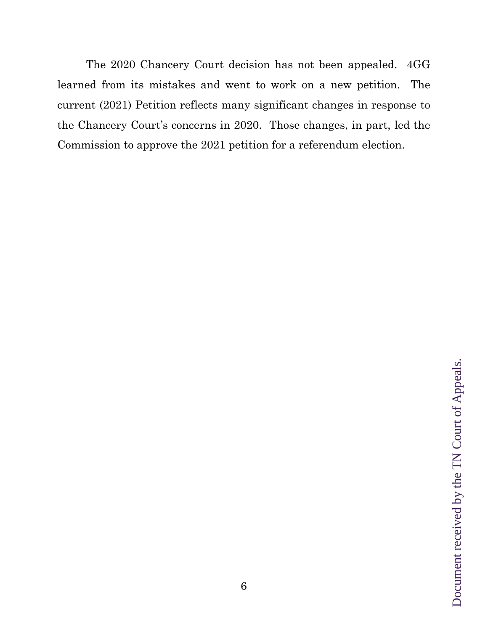The 2020 Chancery Court decision has not been appealed. 4GG learned from its mistakes and went to work on a new petition. The current (2021) Petition reflects many significant changes in response to the Chancery Court's concerns in 2020. Those changes, in part, led the Commission to approve the 2021 petition for a referendum election.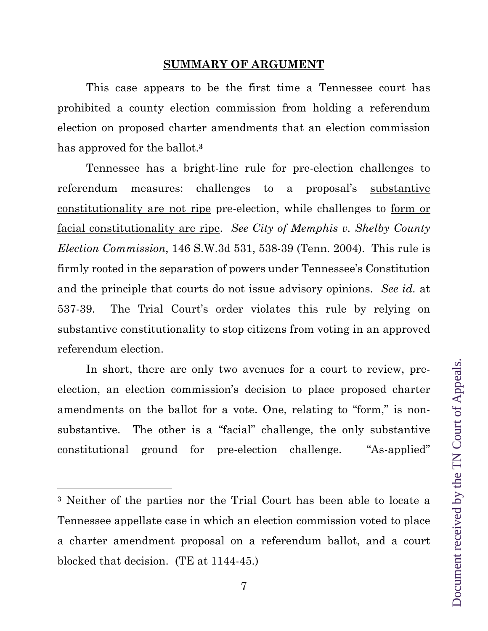#### **SUMMARY OF ARGUMENT**

This case appears to be the first time a Tennessee court has prohibited a county election commission from holding a referendum election on proposed charter amendments that an election commission has approved for the ballot.**3** 

Tennessee has a bright-line rule for pre-election challenges to referendum measures: challenges to a proposal's substantive constitutionality are not ripe pre-election, while challenges to form or facial constitutionality are ripe. *See City of Memphis v. Shelby County Election Commission*, 146 S.W.3d 531, 538-39 (Tenn. 2004). This rule is firmly rooted in the separation of powers under Tennessee's Constitution and the principle that courts do not issue advisory opinions. *See id.* at 537-39. The Trial Court's order violates this rule by relying on substantive constitutionality to stop citizens from voting in an approved referendum election.

In short, there are only two avenues for a court to review, preelection, an election commission's decision to place proposed charter amendments on the ballot for a vote. One, relating to "form," is nonsubstantive. The other is a "facial" challenge, the only substantive constitutional ground for pre-election challenge. "As-applied"

<sup>3</sup> Neither of the parties nor the Trial Court has been able to locate a Tennessee appellate case in which an election commission voted to place a charter amendment proposal on a referendum ballot, and a court blocked that decision. (TE at 1144-45.)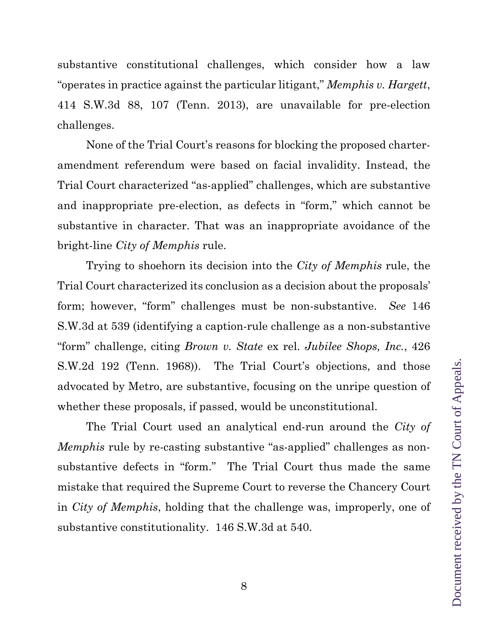substantive constitutional challenges, which consider how a law "operates in practice against the particular litigant," *Memphis v. Hargett*, 414 S.W.3d 88, 107 (Tenn. 2013), are unavailable for pre-election challenges.

None of the Trial Court's reasons for blocking the proposed charteramendment referendum were based on facial invalidity. Instead, the Trial Court characterized "as-applied" challenges, which are substantive and inappropriate pre-election, as defects in "form," which cannot be substantive in character. That was an inappropriate avoidance of the bright-line *City of Memphis* rule.

Trying to shoehorn its decision into the *City of Memphis* rule, the Trial Court characterized its conclusion as a decision about the proposals' form; however, "form" challenges must be non-substantive. *See* 146 S.W.3d at 539 (identifying a caption-rule challenge as a non-substantive "form" challenge, citing *Brown v. State* ex rel. *Jubilee Shops, Inc.*, 426 S.W.2d 192 (Tenn. 1968)). The Trial Court's objections, and those advocated by Metro, are substantive, focusing on the unripe question of whether these proposals, if passed, would be unconstitutional.

The Trial Court used an analytical end-run around the *City of Memphis* rule by re-casting substantive "as-applied" challenges as nonsubstantive defects in "form." The Trial Court thus made the same mistake that required the Supreme Court to reverse the Chancery Court in *City of Memphis*, holding that the challenge was, improperly, one of substantive constitutionality. 146 S.W.3d at 540.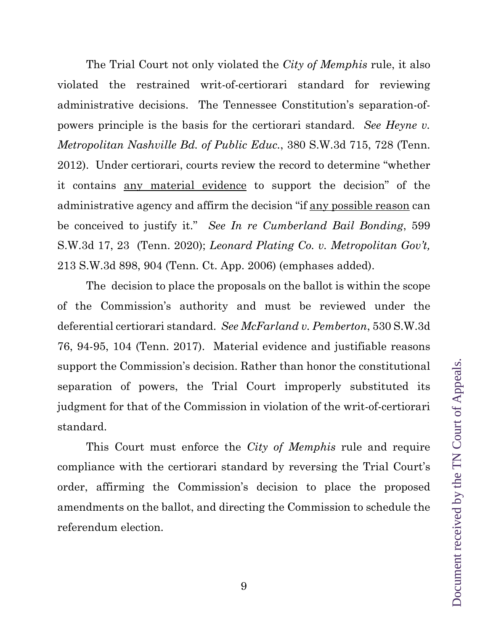The Trial Court not only violated the *City of Memphis* rule, it also violated the restrained writ-of-certiorari standard for reviewing administrative decisions. The Tennessee Constitution's separation-ofpowers principle is the basis for the certiorari standard. *See Heyne v. Metropolitan Nashville Bd. of Public Educ.*, 380 S.W.3d 715, 728 (Tenn. 2012). Under certiorari, courts review the record to determine "whether it contains any material evidence to support the decision" of the administrative agency and affirm the decision "if any possible reason can be conceived to justify it." *See In re Cumberland Bail Bonding*, 599 S.W.3d 17, 23 (Tenn. 2020); *Leonard Plating Co. v. Metropolitan Gov't,* 213 S.W.3d 898, 904 (Tenn. Ct. App. 2006) (emphases added).

The decision to place the proposals on the ballot is within the scope of the Commission's authority and must be reviewed under the deferential certiorari standard. *See McFarland v. Pemberton*, 530 S.W.3d 76, 94-95, 104 (Tenn. 2017). Material evidence and justifiable reasons support the Commission's decision. Rather than honor the constitutional separation of powers, the Trial Court improperly substituted its judgment for that of the Commission in violation of the writ-of-certiorari standard.

This Court must enforce the *City of Memphis* rule and require compliance with the certiorari standard by reversing the Trial Court's order, affirming the Commission's decision to place the proposed amendments on the ballot, and directing the Commission to schedule the referendum election.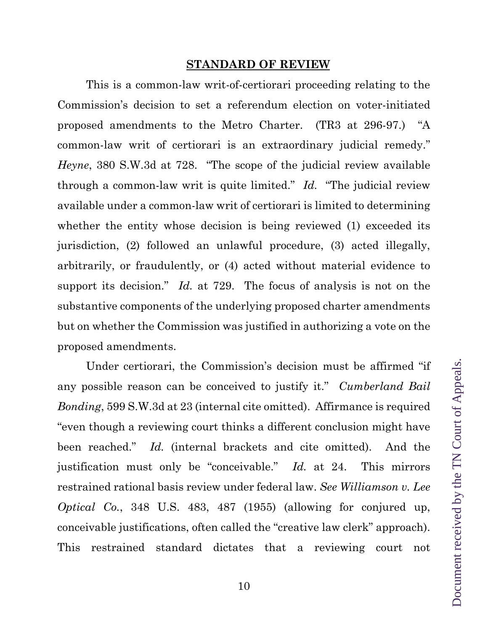#### **STANDARD OF REVIEW**

This is a common-law writ-of-certiorari proceeding relating to the Commission's decision to set a referendum election on voter-initiated proposed amendments to the Metro Charter. (TR3 at 296-97.) "A common-law writ of certiorari is an extraordinary judicial remedy." *Heyne*, 380 S.W.3d at 728. "The scope of the judicial review available through a common-law writ is quite limited." *Id.* "The judicial review available under a common-law writ of certiorari is limited to determining whether the entity whose decision is being reviewed (1) exceeded its jurisdiction, (2) followed an unlawful procedure, (3) acted illegally, arbitrarily, or fraudulently, or (4) acted without material evidence to support its decision." *Id.* at 729. The focus of analysis is not on the substantive components of the underlying proposed charter amendments but on whether the Commission was justified in authorizing a vote on the proposed amendments.

Under certiorari, the Commission's decision must be affirmed "if any possible reason can be conceived to justify it." *Cumberland Bail Bonding*, 599 S.W.3d at 23 (internal cite omitted). Affirmance is required "even though a reviewing court thinks a different conclusion might have been reached." *Id.* (internal brackets and cite omitted). And the justification must only be "conceivable." *Id.* at 24. This mirrors restrained rational basis review under federal law. *See Williamson v. Lee Optical Co.*, 348 U.S. 483, 487 (1955) (allowing for conjured up, conceivable justifications, often called the "creative law clerk" approach). This restrained standard dictates that a reviewing court not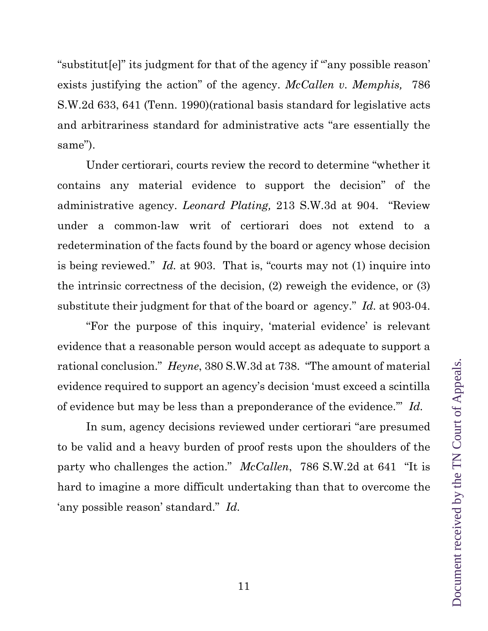"substitut[e]" its judgment for that of the agency if "'any possible reason' exists justifying the action" of the agency. *McCallen v. Memphis,* 786 S.W.2d 633, 641 (Tenn. 1990)(rational basis standard for legislative acts and arbitrariness standard for administrative acts "are essentially the same").

Under certiorari, courts review the record to determine "whether it contains any material evidence to support the decision" of the administrative agency. *Leonard Plating,* 213 S.W.3d at 904. "Review under a common-law writ of certiorari does not extend to a redetermination of the facts found by the board or agency whose decision is being reviewed." *Id.* at 903. That is, "courts may not (1) inquire into the intrinsic correctness of the decision, (2) reweigh the evidence, or (3) substitute their judgment for that of the board or agency." *Id.* at 903-04.

"For the purpose of this inquiry, 'material evidence' is relevant evidence that a reasonable person would accept as adequate to support a rational conclusion." *Heyne*, 380 S.W.3d at 738. "The amount of material evidence required to support an agency's decision 'must exceed a scintilla of evidence but may be less than a preponderance of the evidence.'" *Id.*

In sum, agency decisions reviewed under certiorari "are presumed to be valid and a heavy burden of proof rests upon the shoulders of the party who challenges the action." *McCallen*, 786 S.W.2d at 641 "It is hard to imagine a more difficult undertaking than that to overcome the 'any possible reason' standard." *Id.*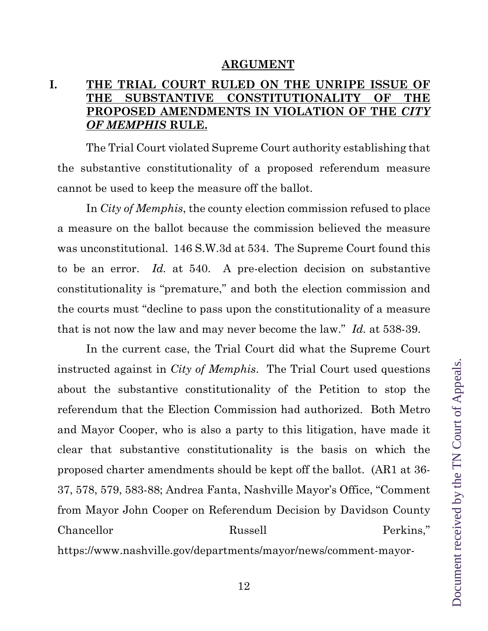#### **ARGUMENT**

### **I. THE TRIAL COURT RULED ON THE UNRIPE ISSUE OF THE SUBSTANTIVE CONSTITUTIONALITY OF THE PROPOSED AMENDMENTS IN VIOLATION OF THE** *CITY OF MEMPHIS* **RULE.**

The Trial Court violated Supreme Court authority establishing that the substantive constitutionality of a proposed referendum measure cannot be used to keep the measure off the ballot.

In *City of Memphis*, the county election commission refused to place a measure on the ballot because the commission believed the measure was unconstitutional. 146 S.W.3d at 534. The Supreme Court found this to be an error. *Id.* at 540. A pre-election decision on substantive constitutionality is "premature," and both the election commission and the courts must "decline to pass upon the constitutionality of a measure that is not now the law and may never become the law." *Id.* at 538-39.

In the current case, the Trial Court did what the Supreme Court instructed against in *City of Memphis*. The Trial Court used questions about the substantive constitutionality of the Petition to stop the referendum that the Election Commission had authorized. Both Metro and Mayor Cooper, who is also a party to this litigation, have made it clear that substantive constitutionality is the basis on which the proposed charter amendments should be kept off the ballot. (AR1 at 36- 37, 578, 579, 583-88; Andrea Fanta, Nashville Mayor's Office, "Comment from Mayor John Cooper on Referendum Decision by Davidson County Chancellor Russell Perkins," https://www.nashville.gov/departments/mayor/news/comment-mayor-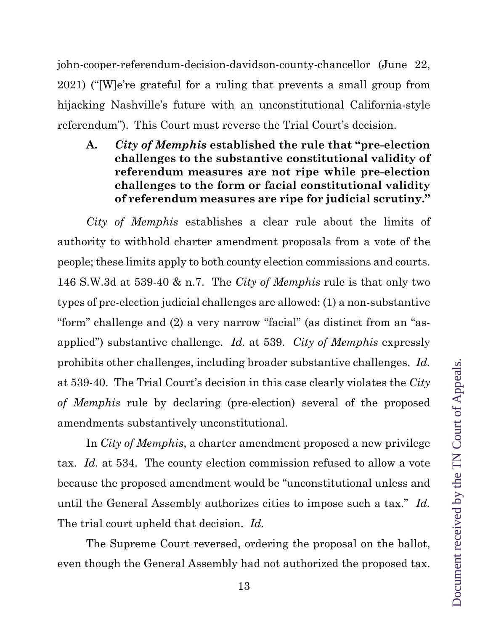john-cooper-referendum-decision-davidson-county-chancellor (June 22, 2021) ("[W]e're grateful for a ruling that prevents a small group from hijacking Nashville's future with an unconstitutional California-style referendum"). This Court must reverse the Trial Court's decision.

**A.** *City of Memphis* **established the rule that "pre-election challenges to the substantive constitutional validity of referendum measures are not ripe while pre-election challenges to the form or facial constitutional validity of referendum measures are ripe for judicial scrutiny."** 

*City of Memphis* establishes a clear rule about the limits of authority to withhold charter amendment proposals from a vote of the people; these limits apply to both county election commissions and courts. 146 S.W.3d at 539-40 & n.7. The *City of Memphis* rule is that only two types of pre-election judicial challenges are allowed: (1) a non-substantive "form" challenge and (2) a very narrow "facial" (as distinct from an "asapplied") substantive challenge. *Id.* at 539. *City of Memphis* expressly prohibits other challenges, including broader substantive challenges. *Id.* at 539-40. The Trial Court's decision in this case clearly violates the *City of Memphis* rule by declaring (pre-election) several of the proposed amendments substantively unconstitutional.

In *City of Memphis*, a charter amendment proposed a new privilege tax. *Id.* at 534. The county election commission refused to allow a vote because the proposed amendment would be "unconstitutional unless and until the General Assembly authorizes cities to impose such a tax." *Id.* The trial court upheld that decision. *Id.*

The Supreme Court reversed, ordering the proposal on the ballot, even though the General Assembly had not authorized the proposed tax.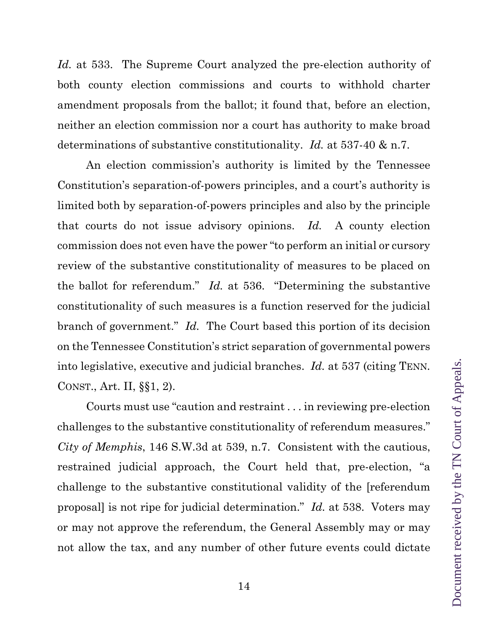*Id.* at 533. The Supreme Court analyzed the pre-election authority of both county election commissions and courts to withhold charter amendment proposals from the ballot; it found that, before an election, neither an election commission nor a court has authority to make broad determinations of substantive constitutionality. *Id.* at 537-40 & n.7.

An election commission's authority is limited by the Tennessee Constitution's separation-of-powers principles, and a court's authority is limited both by separation-of-powers principles and also by the principle that courts do not issue advisory opinions. *Id.* A county election commission does not even have the power "to perform an initial or cursory review of the substantive constitutionality of measures to be placed on the ballot for referendum." *Id.* at 536. "Determining the substantive constitutionality of such measures is a function reserved for the judicial branch of government." *Id.* The Court based this portion of its decision on the Tennessee Constitution's strict separation of governmental powers into legislative, executive and judicial branches. *Id.* at 537 (citing TENN. CONST., Art. II, §§1, 2).

Courts must use "caution and restraint . . . in reviewing pre-election challenges to the substantive constitutionality of referendum measures." *City of Memphis*, 146 S.W.3d at 539, n.7. Consistent with the cautious, restrained judicial approach, the Court held that, pre-election, "a challenge to the substantive constitutional validity of the [referendum proposal] is not ripe for judicial determination." *Id.* at 538. Voters may or may not approve the referendum, the General Assembly may or may not allow the tax, and any number of other future events could dictate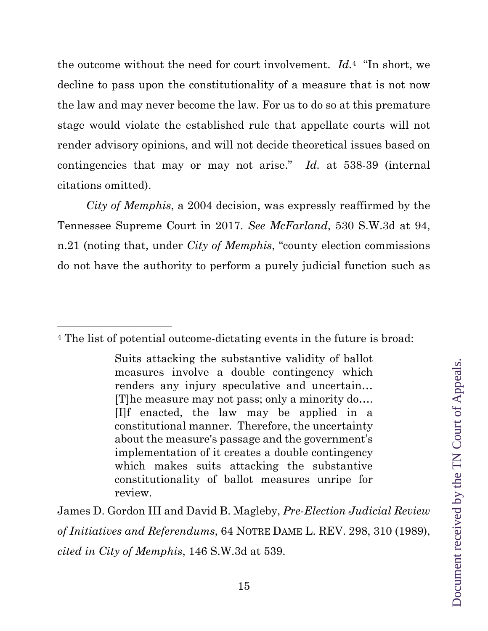the outcome without the need for court involvement. *Id.*4 "In short, we decline to pass upon the constitutionality of a measure that is not now the law and may never become the law. For us to do so at this premature stage would violate the established rule that appellate courts will not render advisory opinions, and will not decide theoretical issues based on contingencies that may or may not arise." *Id.* at 538-39 (internal citations omitted).

*City of Memphis*, a 2004 decision, was expressly reaffirmed by the Tennessee Supreme Court in 2017. *See McFarland*, 530 S.W.3d at 94, n.21 (noting that, under *City of Memphis*, "county election commissions do not have the authority to perform a purely judicial function such as

James D. Gordon III and David B. Magleby, *Pre-Election Judicial Review of Initiatives and Referendums*, 64 NOTRE DAME L. REV. 298, 310 (1989), *cited in City of Memphis*, 146 S.W.3d at 539.

<sup>4</sup> The list of potential outcome-dictating events in the future is broad:

Suits attacking the substantive validity of ballot measures involve a double contingency which renders any injury speculative and uncertain… [T]he measure may not pass; only a minority do…. [I]f enacted, the law may be applied in a constitutional manner. Therefore, the uncertainty about the measure's passage and the government's implementation of it creates a double contingency which makes suits attacking the substantive constitutionality of ballot measures unripe for review.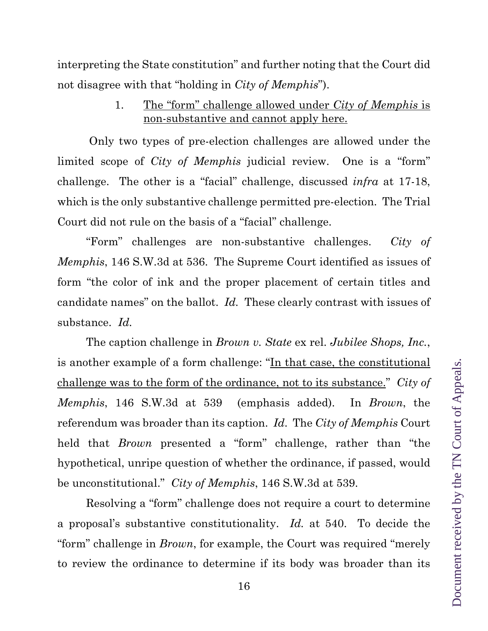interpreting the State constitution" and further noting that the Court did not disagree with that "holding in *City of Memphis*").

> 1. The "form" challenge allowed under *City of Memphis* is non-substantive and cannot apply here.

 Only two types of pre-election challenges are allowed under the limited scope of *City of Memphis* judicial review. One is a "form" challenge. The other is a "facial" challenge, discussed *infra* at 17-18, which is the only substantive challenge permitted pre-election. The Trial Court did not rule on the basis of a "facial" challenge.

"Form" challenges are non-substantive challenges. *City of Memphis*, 146 S.W.3d at 536. The Supreme Court identified as issues of form "the color of ink and the proper placement of certain titles and candidate names" on the ballot. *Id.* These clearly contrast with issues of substance. *Id.*

The caption challenge in *Brown v. State* ex rel. *Jubilee Shops, Inc.*, is another example of a form challenge: "In that case, the constitutional challenge was to the form of the ordinance, not to its substance." *City of Memphis*, 146 S.W.3d at 539 (emphasis added). In *Brown*, the referendum was broader than its caption. *Id*. The *City of Memphis* Court held that *Brown* presented a "form" challenge, rather than "the hypothetical, unripe question of whether the ordinance, if passed, would be unconstitutional." *City of Memphis*, 146 S.W.3d at 539.

Resolving a "form" challenge does not require a court to determine a proposal's substantive constitutionality. *Id.* at 540. To decide the "form" challenge in *Brown*, for example, the Court was required "merely to review the ordinance to determine if its body was broader than its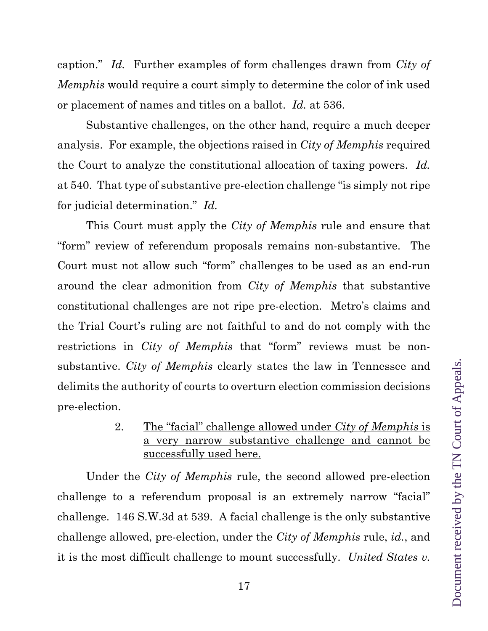caption." *Id.* Further examples of form challenges drawn from *City of Memphis* would require a court simply to determine the color of ink used or placement of names and titles on a ballot. *Id.* at 536.

Substantive challenges, on the other hand, require a much deeper analysis. For example, the objections raised in *City of Memphis* required the Court to analyze the constitutional allocation of taxing powers. *Id.* at 540. That type of substantive pre-election challenge "is simply not ripe for judicial determination." *Id.*

This Court must apply the *City of Memphis* rule and ensure that "form" review of referendum proposals remains non-substantive. The Court must not allow such "form" challenges to be used as an end-run around the clear admonition from *City of Memphis* that substantive constitutional challenges are not ripe pre-election. Metro's claims and the Trial Court's ruling are not faithful to and do not comply with the restrictions in *City of Memphis* that "form" reviews must be nonsubstantive. *City of Memphis* clearly states the law in Tennessee and delimits the authority of courts to overturn election commission decisions pre-election.

> 2. The "facial" challenge allowed under *City of Memphis* is a very narrow substantive challenge and cannot be successfully used here.

Under the *City of Memphis* rule, the second allowed pre-election challenge to a referendum proposal is an extremely narrow "facial" challenge. 146 S.W.3d at 539. A facial challenge is the only substantive challenge allowed, pre-election, under the *City of Memphis* rule, *id.*, and it is the most difficult challenge to mount successfully. *United States v.*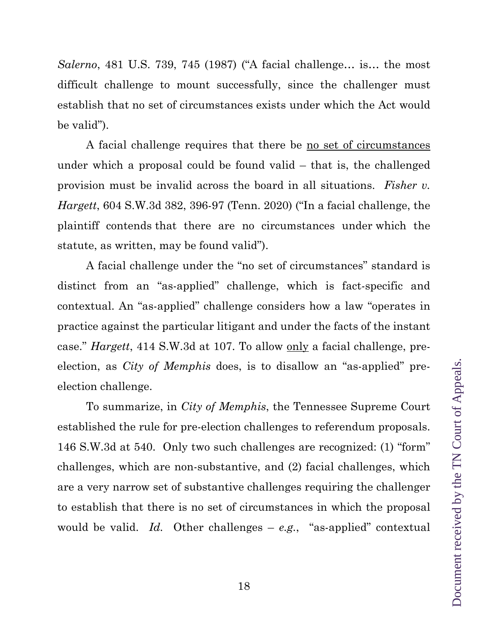difficult challenge to mount successfully, since the challenger must establish that no set of circumstances exists under which the Act would A facial challenge requires that there be no set of circumstances

under which a proposal could be found valid – that is, the challenged provision must be invalid across the board in all situations. *Fisher v. Hargett*, 604 S.W.3d 382, 396-97 (Tenn. 2020) ("In a facial challenge, the plaintiff contends that there are no circumstances under which the statute, as written, may be found valid").

*Salerno*, 481 U.S. 739, 745 (1987) ("A facial challenge… is… the most

be valid").

A facial challenge under the "no set of circumstances" standard is distinct from an "as-applied" challenge, which is fact-specific and contextual. An "as-applied" challenge considers how a law "operates in practice against the particular litigant and under the facts of the instant case." *Hargett*, 414 S.W.3d at 107. To allow only a facial challenge, preelection, as *City of Memphis* does, is to disallow an "as-applied" preelection challenge.

To summarize, in *City of Memphis*, the Tennessee Supreme Court established the rule for pre-election challenges to referendum proposals. 146 S.W.3d at 540. Only two such challenges are recognized: (1) "form" challenges, which are non-substantive, and (2) facial challenges, which are a very narrow set of substantive challenges requiring the challenger to establish that there is no set of circumstances in which the proposal would be valid. *Id.* Other challenges – *e.g.*, "as-applied" contextual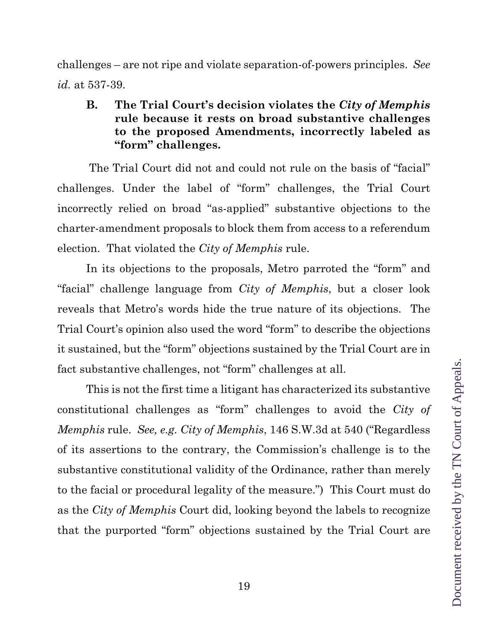challenges – are not ripe and violate separation-of-powers principles. *See id.* at 537-39.

## **B. The Trial Court's decision violates the** *City of Memphis* **rule because it rests on broad substantive challenges to the proposed Amendments, incorrectly labeled as "form" challenges.**

 The Trial Court did not and could not rule on the basis of "facial" challenges. Under the label of "form" challenges, the Trial Court incorrectly relied on broad "as-applied" substantive objections to the charter-amendment proposals to block them from access to a referendum election. That violated the *City of Memphis* rule.

In its objections to the proposals, Metro parroted the "form" and "facial" challenge language from *City of Memphis*, but a closer look reveals that Metro's words hide the true nature of its objections. The Trial Court's opinion also used the word "form" to describe the objections it sustained, but the "form" objections sustained by the Trial Court are in fact substantive challenges, not "form" challenges at all.

This is not the first time a litigant has characterized its substantive constitutional challenges as "form" challenges to avoid the *City of Memphis* rule. *See, e.g. City of Memphis*, 146 S.W.3d at 540 ("Regardless of its assertions to the contrary, the Commission's challenge is to the substantive constitutional validity of the Ordinance, rather than merely to the facial or procedural legality of the measure.") This Court must do as the *City of Memphis* Court did, looking beyond the labels to recognize that the purported "form" objections sustained by the Trial Court are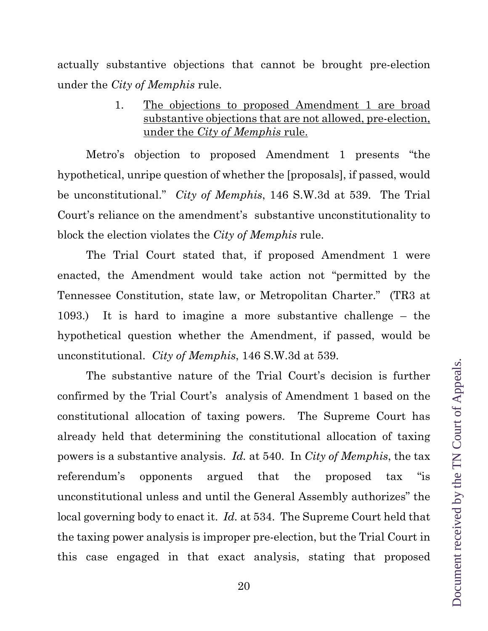actually substantive objections that cannot be brought pre-election under the *City of Memphis* rule.

> 1. The objections to proposed Amendment 1 are broad substantive objections that are not allowed, pre-election, under the *City of Memphis* rule.

Metro's objection to proposed Amendment 1 presents "the hypothetical, unripe question of whether the [proposals], if passed, would be unconstitutional." *City of Memphis*, 146 S.W.3d at 539. The Trial Court's reliance on the amendment's substantive unconstitutionality to block the election violates the *City of Memphis* rule.

The Trial Court stated that, if proposed Amendment 1 were enacted, the Amendment would take action not "permitted by the Tennessee Constitution, state law, or Metropolitan Charter." (TR3 at 1093.) It is hard to imagine a more substantive challenge – the hypothetical question whether the Amendment, if passed, would be unconstitutional. *City of Memphis*, 146 S.W.3d at 539.

The substantive nature of the Trial Court's decision is further confirmed by the Trial Court's analysis of Amendment 1 based on the constitutional allocation of taxing powers. The Supreme Court has already held that determining the constitutional allocation of taxing powers is a substantive analysis. *Id.* at 540. In *City of Memphis*, the tax referendum's opponents argued that the proposed tax "is unconstitutional unless and until the General Assembly authorizes" the local governing body to enact it. *Id.* at 534. The Supreme Court held that the taxing power analysis is improper pre-election, but the Trial Court in this case engaged in that exact analysis, stating that proposed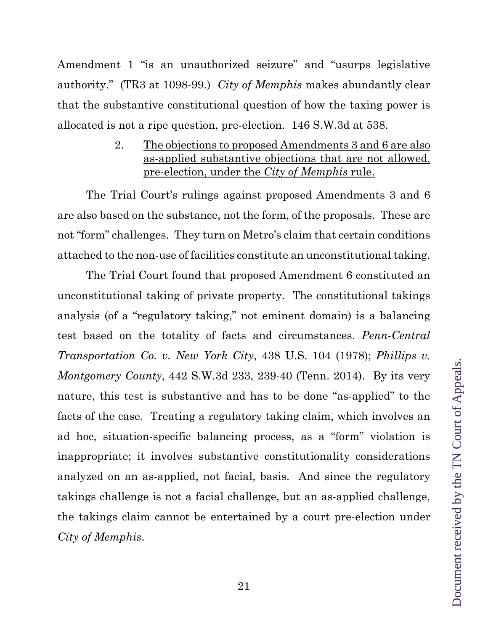Amendment 1 "is an unauthorized seizure" and "usurps legislative authority." (TR3 at 1098-99.) *City of Memphis* makes abundantly clear that the substantive constitutional question of how the taxing power is allocated is not a ripe question, pre-election. 146 S.W.3d at 538.

> 2. The objections to proposed Amendments 3 and 6 are also as-applied substantive objections that are not allowed, pre-election, under the *City of Memphis* rule.

The Trial Court's rulings against proposed Amendments 3 and 6 are also based on the substance, not the form, of the proposals. These are not "form" challenges. They turn on Metro's claim that certain conditions attached to the non-use of facilities constitute an unconstitutional taking.

The Trial Court found that proposed Amendment 6 constituted an unconstitutional taking of private property. The constitutional takings analysis (of a "regulatory taking," not eminent domain) is a balancing test based on the totality of facts and circumstances. *Penn-Central Transportation Co. v. New York City*, 438 U.S. 104 (1978); *Phillips v. Montgomery County*, 442 S.W.3d 233, 239-40 (Tenn. 2014). By its very nature, this test is substantive and has to be done "as-applied" to the facts of the case. Treating a regulatory taking claim, which involves an ad hoc, situation-specific balancing process, as a "form" violation is inappropriate; it involves substantive constitutionality considerations analyzed on an as-applied, not facial, basis. And since the regulatory takings challenge is not a facial challenge, but an as-applied challenge, the takings claim cannot be entertained by a court pre-election under *City of Memphis*.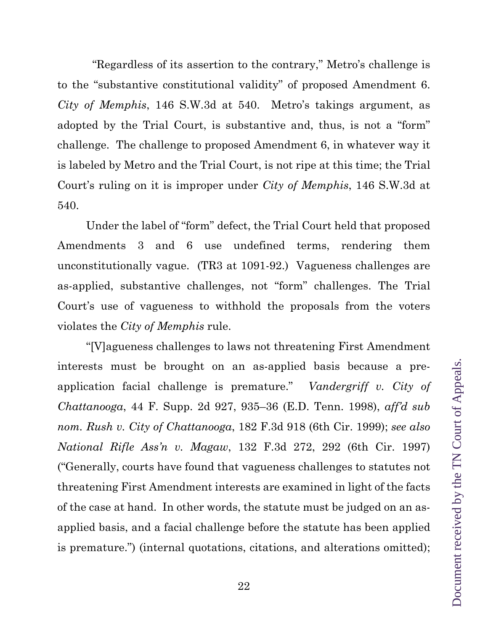"Regardless of its assertion to the contrary," Metro's challenge is to the "substantive constitutional validity" of proposed Amendment 6. *City of Memphis*, 146 S.W.3d at 540. Metro's takings argument, as adopted by the Trial Court, is substantive and, thus, is not a "form" challenge. The challenge to proposed Amendment 6, in whatever way it is labeled by Metro and the Trial Court, is not ripe at this time; the Trial Court's ruling on it is improper under *City of Memphis*, 146 S.W.3d at 540.

Under the label of "form" defect, the Trial Court held that proposed Amendments 3 and 6 use undefined terms, rendering them unconstitutionally vague. (TR3 at 1091-92.) Vagueness challenges are as-applied, substantive challenges, not "form" challenges. The Trial Court's use of vagueness to withhold the proposals from the voters violates the *City of Memphis* rule.

"[V]agueness challenges to laws not threatening First Amendment interests must be brought on an as-applied basis because a preapplication facial challenge is premature." *Vandergriff v. City of Chattanooga*, 44 F. Supp. 2d 927, 935–36 (E.D. Tenn. 1998), *aff'd sub nom. Rush v. City of Chattanooga*, 182 F.3d 918 (6th Cir. 1999); *see also National Rifle Ass'n v. Magaw*, 132 F.3d 272, 292 (6th Cir. 1997) ("Generally, courts have found that vagueness challenges to statutes not threatening First Amendment interests are examined in light of the facts of the case at hand. In other words, the statute must be judged on an asapplied basis, and a facial challenge before the statute has been applied is premature.") (internal quotations, citations, and alterations omitted);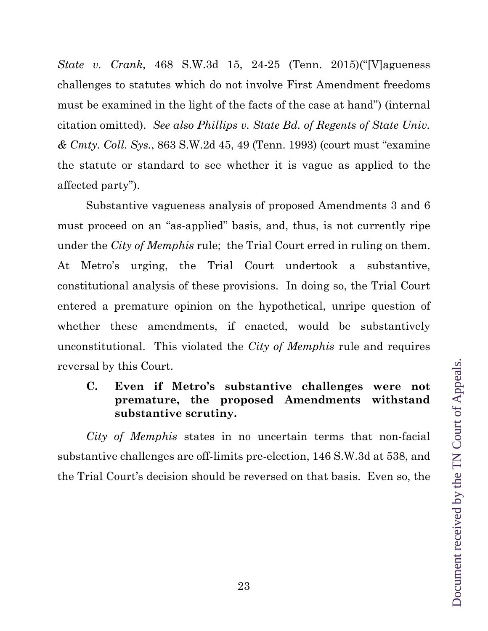*State v. Crank*, 468 S.W.3d 15, 24-25 (Tenn. 2015)("[V]agueness challenges to statutes which do not involve First Amendment freedoms must be examined in the light of the facts of the case at hand") (internal citation omitted). *See also Phillips v. State Bd. of Regents of State Univ. & Cmty. Coll. Sys.*, 863 S.W.2d 45, 49 (Tenn. 1993) (court must "examine the statute or standard to see whether it is vague as applied to the affected party").

Substantive vagueness analysis of proposed Amendments 3 and 6 must proceed on an "as-applied" basis, and, thus, is not currently ripe under the *City of Memphis* rule; the Trial Court erred in ruling on them. At Metro's urging, the Trial Court undertook a substantive, constitutional analysis of these provisions. In doing so, the Trial Court entered a premature opinion on the hypothetical, unripe question of whether these amendments, if enacted, would be substantively unconstitutional. This violated the *City of Memphis* rule and requires reversal by this Court.

**C. Even if Metro's substantive challenges were not premature, the proposed Amendments withstand substantive scrutiny.** 

*City of Memphis* states in no uncertain terms that non-facial substantive challenges are off-limits pre-election, 146 S.W.3d at 538, and the Trial Court's decision should be reversed on that basis. Even so, the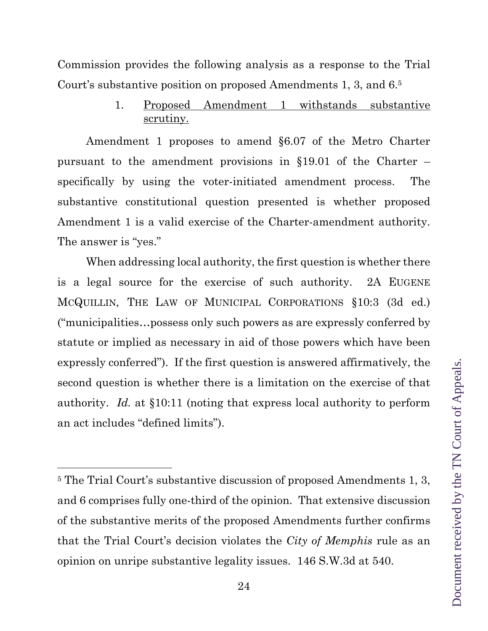Commission provides the following analysis as a response to the Trial Court's substantive position on proposed Amendments 1, 3, and 6.5

> 1. Proposed Amendment 1 withstands substantive scrutiny.

Amendment 1 proposes to amend §6.07 of the Metro Charter pursuant to the amendment provisions in §19.01 of the Charter – specifically by using the voter-initiated amendment process. The substantive constitutional question presented is whether proposed Amendment 1 is a valid exercise of the Charter-amendment authority. The answer is "yes."

When addressing local authority, the first question is whether there is a legal source for the exercise of such authority. 2A EUGENE MCQUILLIN, THE LAW OF MUNICIPAL CORPORATIONS §10:3 (3d ed.) ("municipalities…possess only such powers as are expressly conferred by statute or implied as necessary in aid of those powers which have been expressly conferred"). If the first question is answered affirmatively, the second question is whether there is a limitation on the exercise of that authority. *Id.* at §10:11 (noting that express local authority to perform an act includes "defined limits").

<sup>5</sup> The Trial Court's substantive discussion of proposed Amendments 1, 3, and 6 comprises fully one-third of the opinion. That extensive discussion of the substantive merits of the proposed Amendments further confirms that the Trial Court's decision violates the *City of Memphis* rule as an opinion on unripe substantive legality issues. 146 S.W.3d at 540.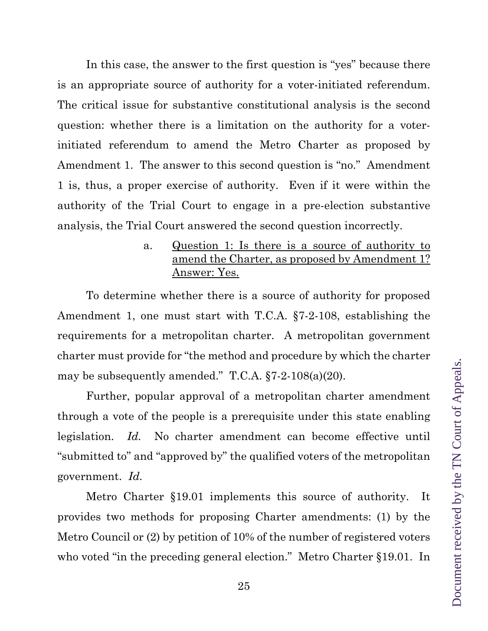In this case, the answer to the first question is "yes" because there is an appropriate source of authority for a voter-initiated referendum. The critical issue for substantive constitutional analysis is the second question: whether there is a limitation on the authority for a voterinitiated referendum to amend the Metro Charter as proposed by Amendment 1. The answer to this second question is "no." Amendment 1 is, thus, a proper exercise of authority. Even if it were within the authority of the Trial Court to engage in a pre-election substantive analysis, the Trial Court answered the second question incorrectly.

### a. Question 1: Is there is a source of authority to amend the Charter, as proposed by Amendment 1? Answer: Yes.

To determine whether there is a source of authority for proposed Amendment 1, one must start with T.C.A. §7-2-108, establishing the requirements for a metropolitan charter. A metropolitan government charter must provide for "the method and procedure by which the charter may be subsequently amended." T.C.A. §7-2-108(a)(20).

Further, popular approval of a metropolitan charter amendment through a vote of the people is a prerequisite under this state enabling legislation. *Id.* No charter amendment can become effective until "submitted to" and "approved by" the qualified voters of the metropolitan government. *Id.*

Metro Charter §19.01 implements this source of authority. It provides two methods for proposing Charter amendments: (1) by the Metro Council or (2) by petition of 10% of the number of registered voters who voted "in the preceding general election." Metro Charter §19.01. In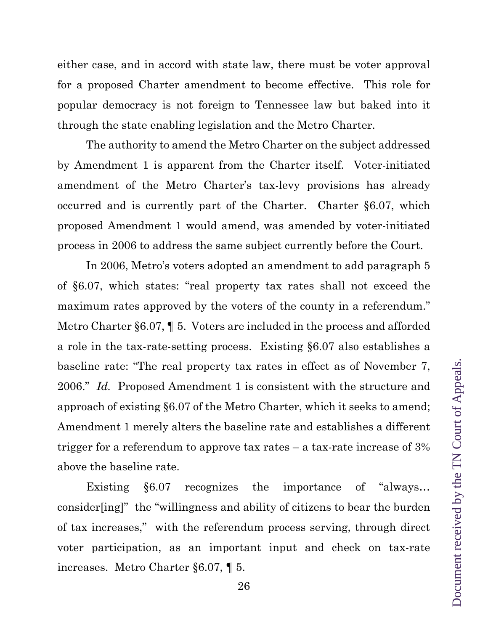either case, and in accord with state law, there must be voter approval for a proposed Charter amendment to become effective. This role for popular democracy is not foreign to Tennessee law but baked into it through the state enabling legislation and the Metro Charter.

The authority to amend the Metro Charter on the subject addressed by Amendment 1 is apparent from the Charter itself. Voter-initiated amendment of the Metro Charter's tax-levy provisions has already occurred and is currently part of the Charter. Charter §6.07, which proposed Amendment 1 would amend, was amended by voter-initiated process in 2006 to address the same subject currently before the Court.

In 2006, Metro's voters adopted an amendment to add paragraph 5 of §6.07, which states: "real property tax rates shall not exceed the maximum rates approved by the voters of the county in a referendum." Metro Charter §6.07, ¶ 5. Voters are included in the process and afforded a role in the tax-rate-setting process. Existing §6.07 also establishes a baseline rate: "The real property tax rates in effect as of November 7, 2006." *Id.* Proposed Amendment 1 is consistent with the structure and approach of existing §6.07 of the Metro Charter, which it seeks to amend; Amendment 1 merely alters the baseline rate and establishes a different trigger for a referendum to approve tax rates – a tax-rate increase of 3% above the baseline rate.

Existing §6.07 recognizes the importance of "always… consider[ing]" the "willingness and ability of citizens to bear the burden of tax increases," with the referendum process serving, through direct voter participation, as an important input and check on tax-rate increases. Metro Charter §6.07, ¶ 5.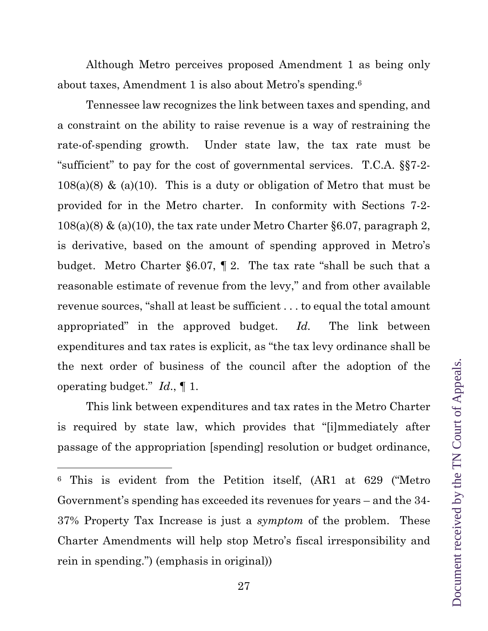Although Metro perceives proposed Amendment 1 as being only about taxes, Amendment 1 is also about Metro's spending.6

Tennessee law recognizes the link between taxes and spending, and a constraint on the ability to raise revenue is a way of restraining the rate-of-spending growth. Under state law, the tax rate must be "sufficient" to pay for the cost of governmental services. T.C.A. §§7-2-  $108(a)(8)$  & (a)(10). This is a duty or obligation of Metro that must be provided for in the Metro charter. In conformity with Sections 7-2-  $108(a)(8)$  & (a)(10), the tax rate under Metro Charter §6.07, paragraph 2, is derivative, based on the amount of spending approved in Metro's budget. Metro Charter §6.07, ¶ 2. The tax rate "shall be such that a reasonable estimate of revenue from the levy," and from other available revenue sources, "shall at least be sufficient . . . to equal the total amount appropriated" in the approved budget. *Id.* The link between expenditures and tax rates is explicit, as "the tax levy ordinance shall be the next order of business of the council after the adoption of the operating budget." *Id*., ¶ 1.

This link between expenditures and tax rates in the Metro Charter is required by state law, which provides that "[i]mmediately after passage of the appropriation [spending] resolution or budget ordinance,

<sup>6</sup> This is evident from the Petition itself, (AR1 at 629 ("Metro Government's spending has exceeded its revenues for years – and the 34- 37% Property Tax Increase is just a *symptom* of the problem. These Charter Amendments will help stop Metro's fiscal irresponsibility and rein in spending.") (emphasis in original))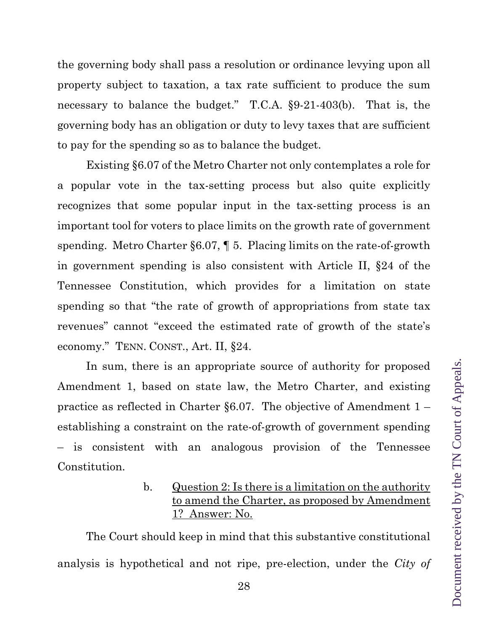the governing body shall pass a resolution or ordinance levying upon all property subject to taxation, a tax rate sufficient to produce the sum necessary to balance the budget." T.C.A.  $\S 9-21-403(b)$ . That is, the governing body has an obligation or duty to levy taxes that are sufficient to pay for the spending so as to balance the budget.

Existing §6.07 of the Metro Charter not only contemplates a role for a popular vote in the tax-setting process but also quite explicitly recognizes that some popular input in the tax-setting process is an important tool for voters to place limits on the growth rate of government spending. Metro Charter §6.07, ¶ 5. Placing limits on the rate-of-growth in government spending is also consistent with Article II, §24 of the Tennessee Constitution, which provides for a limitation on state spending so that "the rate of growth of appropriations from state tax revenues" cannot "exceed the estimated rate of growth of the state's economy." TENN. CONST., Art. II, §24.

In sum, there is an appropriate source of authority for proposed Amendment 1, based on state law, the Metro Charter, and existing practice as reflected in Charter §6.07. The objective of Amendment  $1$ establishing a constraint on the rate-of-growth of government spending – is consistent with an analogous provision of the Tennessee Constitution.

> b. Question 2: Is there is a limitation on the authority to amend the Charter, as proposed by Amendment 1? Answer: No.

The Court should keep in mind that this substantive constitutional analysis is hypothetical and not ripe, pre-election, under the *City of*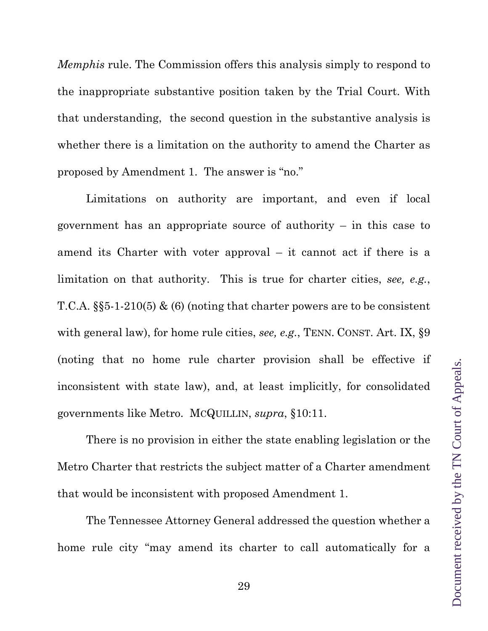*Memphis* rule. The Commission offers this analysis simply to respond to the inappropriate substantive position taken by the Trial Court. With that understanding, the second question in the substantive analysis is whether there is a limitation on the authority to amend the Charter as proposed by Amendment 1. The answer is "no."

Limitations on authority are important, and even if local government has an appropriate source of authority – in this case to amend its Charter with voter approval – it cannot act if there is a limitation on that authority. This is true for charter cities, *see, e.g.*, T.C.A. §§5-1-210(5) & (6) (noting that charter powers are to be consistent with general law), for home rule cities, *see, e.g.*, TENN. CONST. Art. IX,  $\S9$ (noting that no home rule charter provision shall be effective if inconsistent with state law), and, at least implicitly, for consolidated governments like Metro. MCQUILLIN, *supra*, §10:11.

There is no provision in either the state enabling legislation or the Metro Charter that restricts the subject matter of a Charter amendment that would be inconsistent with proposed Amendment 1.

The Tennessee Attorney General addressed the question whether a home rule city "may amend its charter to call automatically for a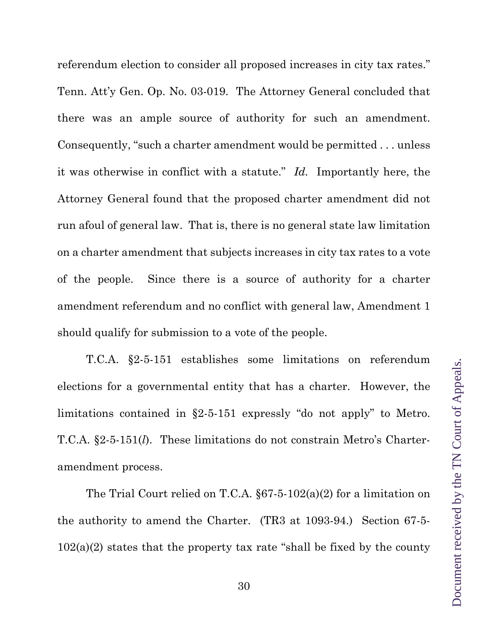referendum election to consider all proposed increases in city tax rates." Tenn. Att'y Gen. Op. No. 03-019. The Attorney General concluded that there was an ample source of authority for such an amendment. Consequently, "such a charter amendment would be permitted . . . unless it was otherwise in conflict with a statute." *Id.* Importantly here, the Attorney General found that the proposed charter amendment did not run afoul of general law. That is, there is no general state law limitation on a charter amendment that subjects increases in city tax rates to a vote of the people. Since there is a source of authority for a charter amendment referendum and no conflict with general law, Amendment 1 should qualify for submission to a vote of the people.

T.C.A. §2-5-151 establishes some limitations on referendum elections for a governmental entity that has a charter. However, the limitations contained in §2-5-151 expressly "do not apply" to Metro. T.C.A. §2-5-151(*l*). These limitations do not constrain Metro's Charteramendment process.

The Trial Court relied on T.C.A. §67-5-102(a)(2) for a limitation on the authority to amend the Charter. (TR3 at 1093-94.) Section 67-5-  $102(a)(2)$  states that the property tax rate "shall be fixed by the county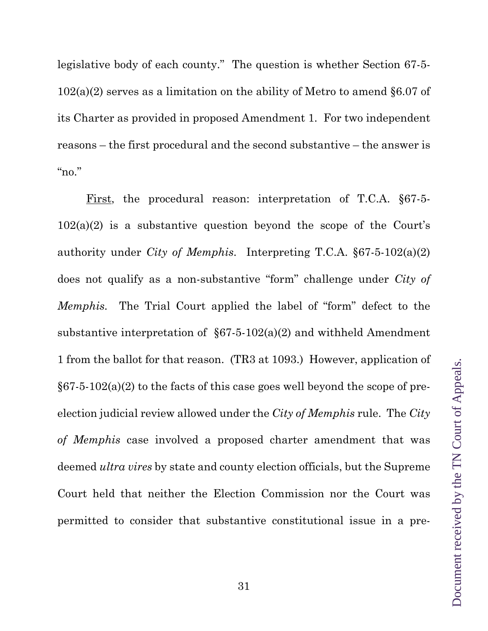legislative body of each county." The question is whether Section 67-5- 102(a)(2) serves as a limitation on the ability of Metro to amend §6.07 of its Charter as provided in proposed Amendment 1. For two independent reasons – the first procedural and the second substantive – the answer is " $no."$ 

First, the procedural reason: interpretation of T.C.A. §67-5- 102(a)(2) is a substantive question beyond the scope of the Court's authority under *City of Memphis*. Interpreting T.C.A. §67-5-102(a)(2) does not qualify as a non-substantive "form" challenge under *City of Memphis.* The Trial Court applied the label of "form" defect to the substantive interpretation of  $\S67-5-102(a)(2)$  and withheld Amendment 1 from the ballot for that reason. (TR3 at 1093.) However, application of  $§67-5-102(a)(2)$  to the facts of this case goes well beyond the scope of preelection judicial review allowed under the *City of Memphis* rule. The *City of Memphis* case involved a proposed charter amendment that was deemed *ultra vires* by state and county election officials, but the Supreme Court held that neither the Election Commission nor the Court was permitted to consider that substantive constitutional issue in a pre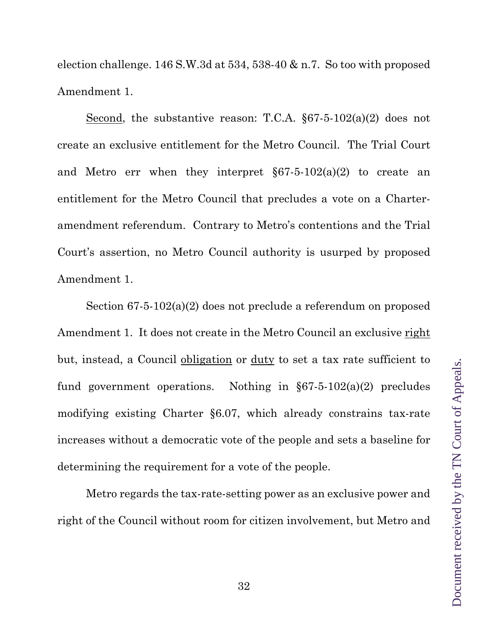election challenge. 146 S.W.3d at 534, 538-40 & n.7. So too with proposed Amendment 1.

Second, the substantive reason: T.C.A. §67-5-102(a)(2) does not create an exclusive entitlement for the Metro Council. The Trial Court and Metro err when they interpret §67-5-102(a)(2) to create an entitlement for the Metro Council that precludes a vote on a Charteramendment referendum. Contrary to Metro's contentions and the Trial Court's assertion, no Metro Council authority is usurped by proposed Amendment 1.

Section 67-5-102(a)(2) does not preclude a referendum on proposed Amendment 1. It does not create in the Metro Council an exclusive right but, instead, a Council obligation or duty to set a tax rate sufficient to fund government operations. Nothing in §67-5-102(a)(2) precludes modifying existing Charter §6.07, which already constrains tax-rate increases without a democratic vote of the people and sets a baseline for determining the requirement for a vote of the people.

Metro regards the tax-rate-setting power as an exclusive power and right of the Council without room for citizen involvement, but Metro and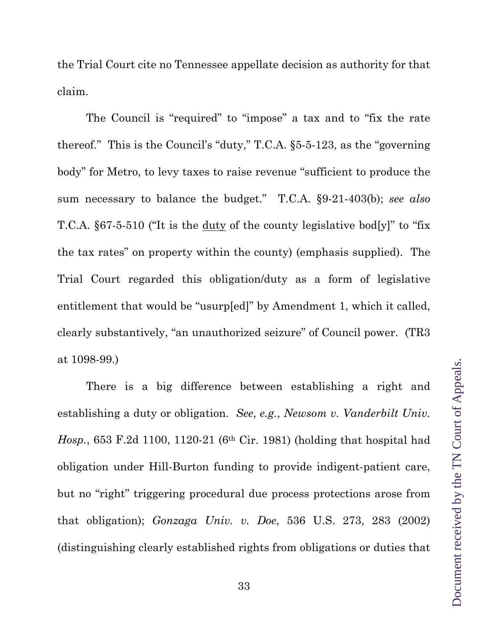the Trial Court cite no Tennessee appellate decision as authority for that claim.

The Council is "required" to "impose" a tax and to "fix the rate thereof." This is the Council's "duty," T.C.A. §5-5-123, as the "governing body" for Metro, to levy taxes to raise revenue "sufficient to produce the sum necessary to balance the budget." T.C.A. §9-21-403(b); *see also*  T.C.A. §67-5-510 ("It is the <u>duty</u> of the county legislative bod[y]" to "fix" the tax rates" on property within the county) (emphasis supplied). The Trial Court regarded this obligation/duty as a form of legislative entitlement that would be "usurp[ed]" by Amendment 1, which it called, clearly substantively, "an unauthorized seizure" of Council power. (TR3 at 1098-99.)

There is a big difference between establishing a right and establishing a duty or obligation. *See*, *e.g.*, *Newsom v. Vanderbilt Univ. Hosp.*, 653 F.2d 1100, 1120-21 (6th Cir. 1981) (holding that hospital had obligation under Hill-Burton funding to provide indigent-patient care, but no "right" triggering procedural due process protections arose from that obligation); *Gonzaga Univ. v. Doe*, 536 U.S. 273, 283 (2002) (distinguishing clearly established rights from obligations or duties that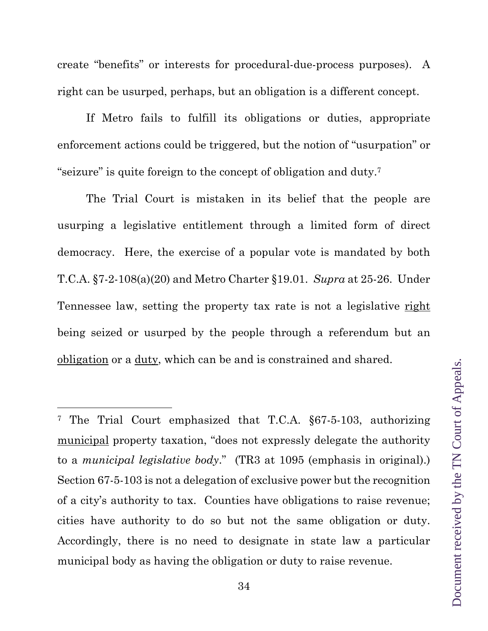create "benefits" or interests for procedural-due-process purposes). A right can be usurped, perhaps, but an obligation is a different concept.

If Metro fails to fulfill its obligations or duties, appropriate enforcement actions could be triggered, but the notion of "usurpation" or "seizure" is quite foreign to the concept of obligation and duty.7

The Trial Court is mistaken in its belief that the people are usurping a legislative entitlement through a limited form of direct democracy. Here, the exercise of a popular vote is mandated by both T.C.A. §7-2-108(a)(20) and Metro Charter §19.01. *Supra* at 25-26. Under Tennessee law, setting the property tax rate is not a legislative right being seized or usurped by the people through a referendum but an obligation or a duty, which can be and is constrained and shared.

<sup>7</sup> The Trial Court emphasized that T.C.A. §67-5-103, authorizing municipal property taxation, "does not expressly delegate the authority to a *municipal legislative body*." (TR3 at 1095 (emphasis in original).) Section 67-5-103 is not a delegation of exclusive power but the recognition of a city's authority to tax. Counties have obligations to raise revenue; cities have authority to do so but not the same obligation or duty. Accordingly, there is no need to designate in state law a particular municipal body as having the obligation or duty to raise revenue.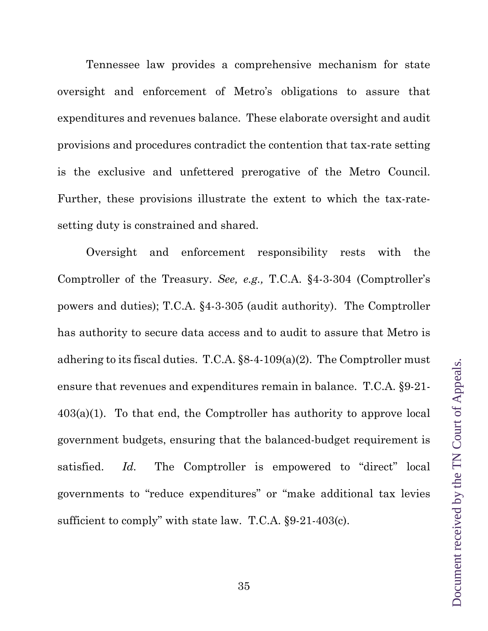Tennessee law provides a comprehensive mechanism for state oversight and enforcement of Metro's obligations to assure that expenditures and revenues balance. These elaborate oversight and audit provisions and procedures contradict the contention that tax-rate setting is the exclusive and unfettered prerogative of the Metro Council. Further, these provisions illustrate the extent to which the tax-ratesetting duty is constrained and shared.

Oversight and enforcement responsibility rests with the Comptroller of the Treasury. *See, e.g.,* T.C.A. §4-3-304 (Comptroller's powers and duties); T.C.A. §4-3-305 (audit authority). The Comptroller has authority to secure data access and to audit to assure that Metro is adhering to its fiscal duties. T.C.A.  $\S 8-4-109(a)(2)$ . The Comptroller must ensure that revenues and expenditures remain in balance. T.C.A. §9-21- 403(a)(1). To that end, the Comptroller has authority to approve local government budgets, ensuring that the balanced-budget requirement is satisfied. *Id.* The Comptroller is empowered to "direct" local governments to "reduce expenditures" or "make additional tax levies sufficient to comply" with state law. T.C.A. §9-21-403(c).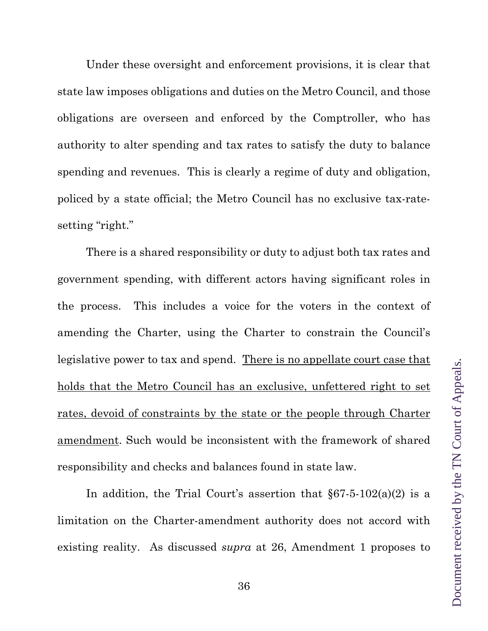Under these oversight and enforcement provisions, it is clear that state law imposes obligations and duties on the Metro Council, and those obligations are overseen and enforced by the Comptroller, who has authority to alter spending and tax rates to satisfy the duty to balance spending and revenues. This is clearly a regime of duty and obligation, policed by a state official; the Metro Council has no exclusive tax-ratesetting "right."

There is a shared responsibility or duty to adjust both tax rates and government spending, with different actors having significant roles in the process. This includes a voice for the voters in the context of amending the Charter, using the Charter to constrain the Council's legislative power to tax and spend. There is no appellate court case that holds that the Metro Council has an exclusive, unfettered right to set rates, devoid of constraints by the state or the people through Charter amendment. Such would be inconsistent with the framework of shared responsibility and checks and balances found in state law.

In addition, the Trial Court's assertion that  $\S67-5-102(a)(2)$  is a limitation on the Charter-amendment authority does not accord with existing reality. As discussed *supra* at 26, Amendment 1 proposes to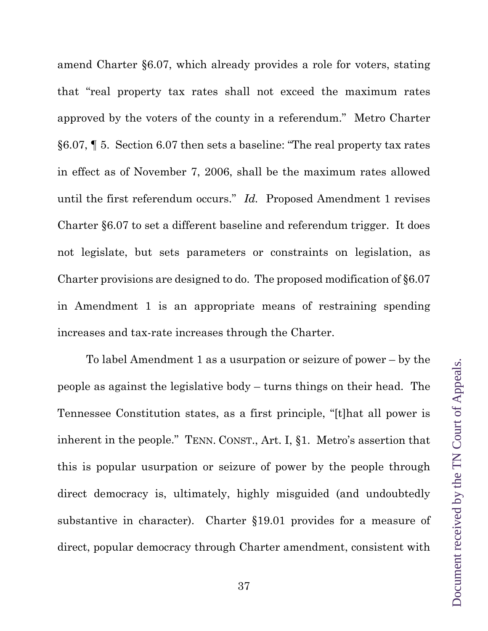amend Charter §6.07, which already provides a role for voters, stating that "real property tax rates shall not exceed the maximum rates approved by the voters of the county in a referendum." Metro Charter §6.07, ¶ 5. Section 6.07 then sets a baseline: "The real property tax rates in effect as of November 7, 2006, shall be the maximum rates allowed until the first referendum occurs." *Id.* Proposed Amendment 1 revises Charter §6.07 to set a different baseline and referendum trigger. It does not legislate, but sets parameters or constraints on legislation, as Charter provisions are designed to do. The proposed modification of §6.07 in Amendment 1 is an appropriate means of restraining spending increases and tax-rate increases through the Charter.

To label Amendment 1 as a usurpation or seizure of power – by the people as against the legislative body – turns things on their head. The Tennessee Constitution states, as a first principle, "[t]hat all power is inherent in the people." TENN. CONST., Art. I, §1. Metro's assertion that this is popular usurpation or seizure of power by the people through direct democracy is, ultimately, highly misguided (and undoubtedly substantive in character). Charter §19.01 provides for a measure of direct, popular democracy through Charter amendment, consistent with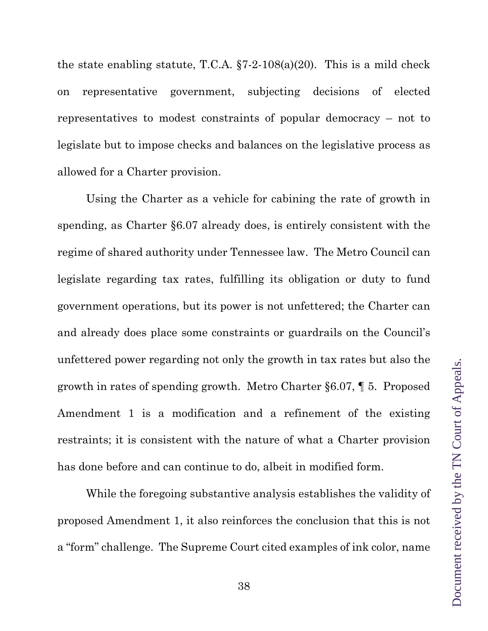the state enabling statute, T.C.A.  $\S 7-2-108(a)(20)$ . This is a mild check on representative government, subjecting decisions of elected representatives to modest constraints of popular democracy – not to legislate but to impose checks and balances on the legislative process as allowed for a Charter provision.

Using the Charter as a vehicle for cabining the rate of growth in spending, as Charter §6.07 already does, is entirely consistent with the regime of shared authority under Tennessee law. The Metro Council can legislate regarding tax rates, fulfilling its obligation or duty to fund government operations, but its power is not unfettered; the Charter can and already does place some constraints or guardrails on the Council's unfettered power regarding not only the growth in tax rates but also the growth in rates of spending growth. Metro Charter §6.07, ¶ 5. Proposed Amendment 1 is a modification and a refinement of the existing restraints; it is consistent with the nature of what a Charter provision has done before and can continue to do, albeit in modified form.

While the foregoing substantive analysis establishes the validity of proposed Amendment 1, it also reinforces the conclusion that this is not a "form" challenge. The Supreme Court cited examples of ink color, name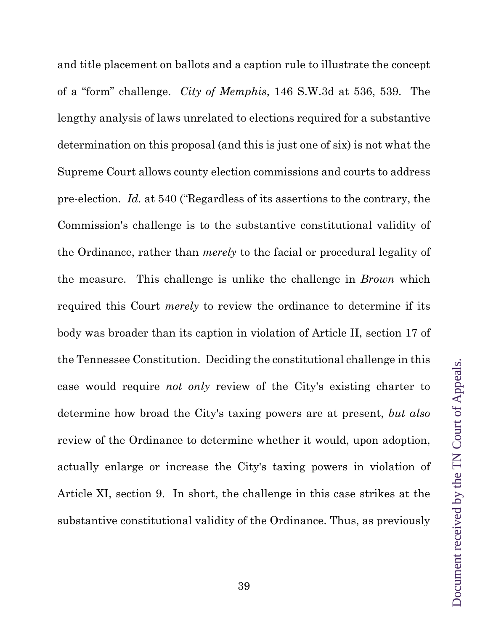and title placement on ballots and a caption rule to illustrate the concept of a "form" challenge. *City of Memphis*, 146 S.W.3d at 536, 539. The lengthy analysis of laws unrelated to elections required for a substantive determination on this proposal (and this is just one of six) is not what the Supreme Court allows county election commissions and courts to address pre-election. *Id.* at 540 ("Regardless of its assertions to the contrary, the Commission's challenge is to the substantive constitutional validity of the Ordinance, rather than *merely* to the facial or procedural legality of the measure. This challenge is unlike the challenge in *Brown* which required this Court *merely* to review the ordinance to determine if its body was broader than its caption in violation of Article II, section 17 of the Tennessee Constitution. Deciding the constitutional challenge in this case would require *not only* review of the City's existing charter to determine how broad the City's taxing powers are at present, *but also* review of the Ordinance to determine whether it would, upon adoption, actually enlarge or increase the City's taxing powers in violation of Article XI, section 9. In short, the challenge in this case strikes at the substantive constitutional validity of the Ordinance. Thus, as previously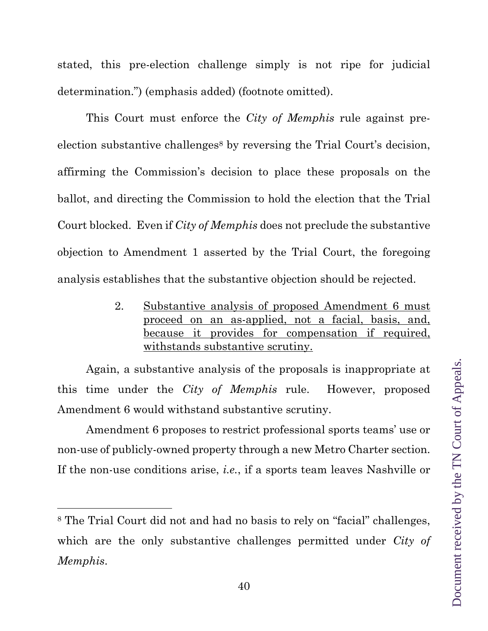stated, this pre-election challenge simply is not ripe for judicial determination.") (emphasis added) (footnote omitted).

This Court must enforce the *City of Memphis* rule against preelection substantive challenges<sup>8</sup> by reversing the Trial Court's decision, affirming the Commission's decision to place these proposals on the ballot, and directing the Commission to hold the election that the Trial Court blocked. Even if *City of Memphis* does not preclude the substantive objection to Amendment 1 asserted by the Trial Court, the foregoing analysis establishes that the substantive objection should be rejected.

> 2. Substantive analysis of proposed Amendment 6 must proceed on an as-applied, not a facial, basis, and, because it provides for compensation if required, withstands substantive scrutiny.

Again, a substantive analysis of the proposals is inappropriate at this time under the *City of Memphis* rule. However, proposed Amendment 6 would withstand substantive scrutiny.

Amendment 6 proposes to restrict professional sports teams' use or non-use of publicly-owned property through a new Metro Charter section. If the non-use conditions arise, *i.e.*, if a sports team leaves Nashville or

<sup>8</sup> The Trial Court did not and had no basis to rely on "facial" challenges, which are the only substantive challenges permitted under *City of Memphis*.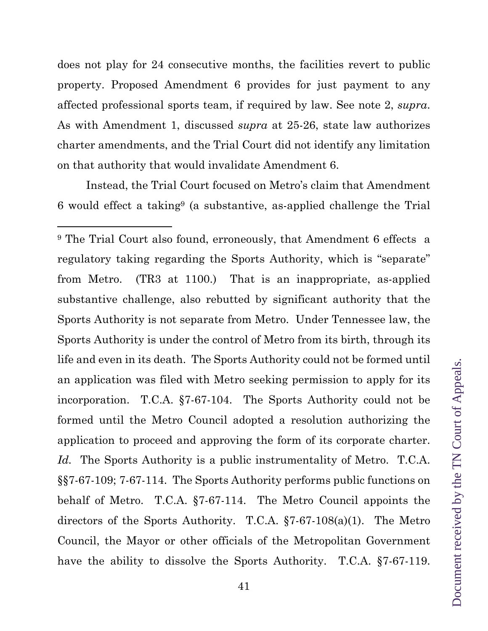does not play for 24 consecutive months, the facilities revert to public property. Proposed Amendment 6 provides for just payment to any affected professional sports team, if required by law. See note 2, *supra*. As with Amendment 1, discussed *supra* at 25-26, state law authorizes charter amendments, and the Trial Court did not identify any limitation on that authority that would invalidate Amendment 6.

Instead, the Trial Court focused on Metro's claim that Amendment 6 would effect a taking9 (a substantive, as-applied challenge the Trial

<sup>9</sup> The Trial Court also found, erroneously, that Amendment 6 effects a regulatory taking regarding the Sports Authority, which is "separate" from Metro. (TR3 at 1100.) That is an inappropriate, as-applied substantive challenge, also rebutted by significant authority that the Sports Authority is not separate from Metro. Under Tennessee law, the Sports Authority is under the control of Metro from its birth, through its life and even in its death. The Sports Authority could not be formed until an application was filed with Metro seeking permission to apply for its incorporation. T.C.A. §7-67-104. The Sports Authority could not be formed until the Metro Council adopted a resolution authorizing the application to proceed and approving the form of its corporate charter. *Id.* The Sports Authority is a public instrumentality of Metro. T.C.A. §§7-67-109; 7-67-114. The Sports Authority performs public functions on behalf of Metro. T.C.A. §7-67-114. The Metro Council appoints the directors of the Sports Authority. T.C.A. §7-67-108(a)(1). The Metro Council, the Mayor or other officials of the Metropolitan Government have the ability to dissolve the Sports Authority. T.C.A. §7-67-119.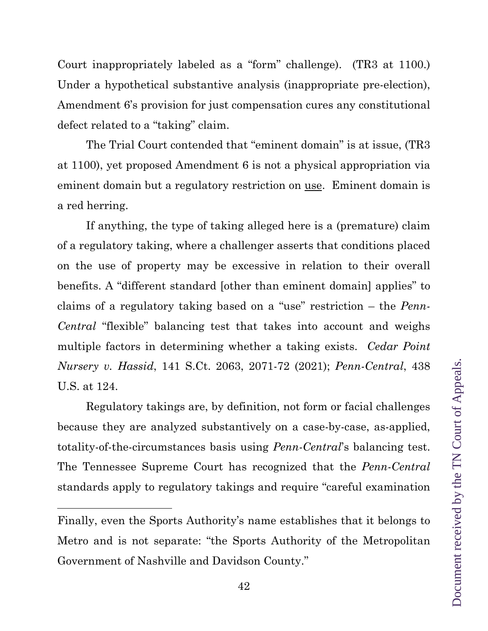The Trial Court contended that "eminent domain" is at issue, (TR3 at 1100), yet proposed Amendment 6 is not a physical appropriation via eminent domain but a regulatory restriction on use. Eminent domain is If anything, the type of taking alleged here is a (premature) claim

of a regulatory taking, where a challenger asserts that conditions placed on the use of property may be excessive in relation to their overall benefits. A "different standard [other than eminent domain] applies" to claims of a regulatory taking based on a "use" restriction – the *Penn-Central* "flexible" balancing test that takes into account and weighs multiple factors in determining whether a taking exists. *Cedar Point Nursery v. Hassid*, 141 S.Ct. 2063, 2071-72 (2021); *Penn-Central*, 438 U.S. at 124.

Court inappropriately labeled as a "form" challenge). (TR3 at 1100.)

Under a hypothetical substantive analysis (inappropriate pre-election),

Amendment 6's provision for just compensation cures any constitutional

defect related to a "taking" claim.

a red herring.

Regulatory takings are, by definition, not form or facial challenges because they are analyzed substantively on a case-by-case, as-applied, totality-of-the-circumstances basis using *Penn-Central*'s balancing test. The Tennessee Supreme Court has recognized that the *Penn-Central* standards apply to regulatory takings and require "careful examination

Finally, even the Sports Authority's name establishes that it belongs to Metro and is not separate: "the Sports Authority of the Metropolitan Government of Nashville and Davidson County."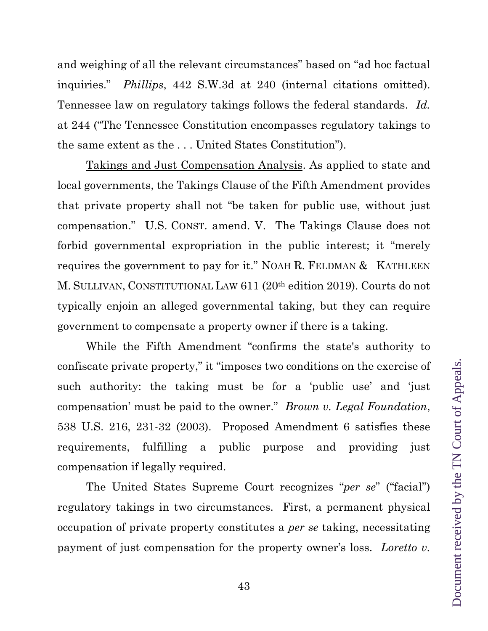and weighing of all the relevant circumstances" based on "ad hoc factual inquiries." *Phillips*, 442 S.W.3d at 240 (internal citations omitted). Tennessee law on regulatory takings follows the federal standards. *Id.* at 244 ("The Tennessee Constitution encompasses regulatory takings to the same extent as the . . . United States Constitution").

Takings and Just Compensation Analysis. As applied to state and local governments, the Takings Clause of the Fifth Amendment provides that private property shall not "be taken for public use, without just compensation." U.S. CONST. amend. V. The Takings Clause does not forbid governmental expropriation in the public interest; it "merely requires the government to pay for it." NOAH R. FELDMAN & KATHLEEN M. SULLIVAN, CONSTITUTIONAL LAW 611 (20th edition 2019). Courts do not typically enjoin an alleged governmental taking, but they can require government to compensate a property owner if there is a taking.

While the Fifth Amendment "confirms the state's authority to confiscate private property," it "imposes two conditions on the exercise of such authority: the taking must be for a 'public use' and 'just compensation' must be paid to the owner." *Brown v. Legal Foundation*, 538 U.S. 216, 231-32 (2003). Proposed Amendment 6 satisfies these requirements, fulfilling a public purpose and providing just compensation if legally required.

The United States Supreme Court recognizes "*per se*" ("facial") regulatory takings in two circumstances. First, a permanent physical occupation of private property constitutes a *per se* taking, necessitating payment of just compensation for the property owner's loss. *Loretto v.* 

43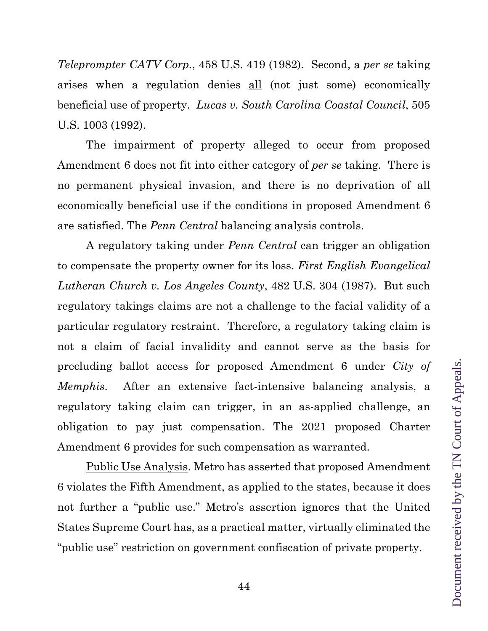*Teleprompter CATV Corp.*, 458 U.S. 419 (1982). Second, a *per se* taking arises when a regulation denies all (not just some) economically beneficial use of property. *Lucas v. South Carolina Coastal Council*, 505 U.S. 1003 (1992).

The impairment of property alleged to occur from proposed Amendment 6 does not fit into either category of *per se* taking. There is no permanent physical invasion, and there is no deprivation of all economically beneficial use if the conditions in proposed Amendment 6 are satisfied. The *Penn Central* balancing analysis controls.

A regulatory taking under *Penn Central* can trigger an obligation to compensate the property owner for its loss. *First English Evangelical Lutheran Church v. Los Angeles County*, 482 U.S. 304 (1987). But such regulatory takings claims are not a challenge to the facial validity of a particular regulatory restraint. Therefore, a regulatory taking claim is not a claim of facial invalidity and cannot serve as the basis for precluding ballot access for proposed Amendment 6 under *City of Memphis*. After an extensive fact-intensive balancing analysis, a regulatory taking claim can trigger, in an as-applied challenge, an obligation to pay just compensation. The 2021 proposed Charter Amendment 6 provides for such compensation as warranted.

Public Use Analysis. Metro has asserted that proposed Amendment 6 violates the Fifth Amendment, as applied to the states, because it does not further a "public use." Metro's assertion ignores that the United States Supreme Court has, as a practical matter, virtually eliminated the "public use" restriction on government confiscation of private property.

44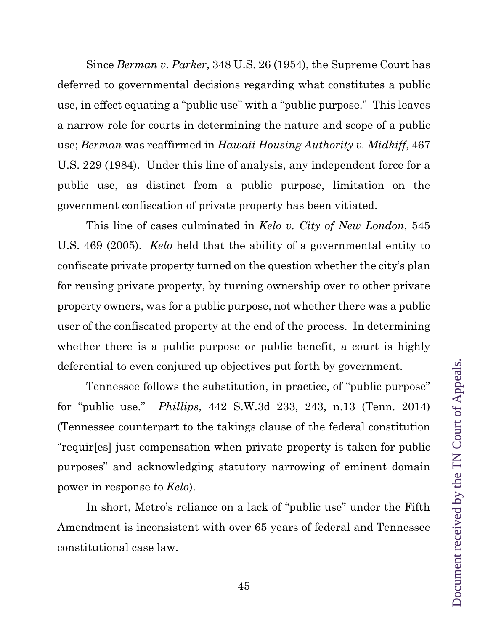Since *Berman v. Parker*, 348 U.S. 26 (1954), the Supreme Court has deferred to governmental decisions regarding what constitutes a public use, in effect equating a "public use" with a "public purpose." This leaves a narrow role for courts in determining the nature and scope of a public use; *Berman* was reaffirmed in *Hawaii Housing Authority v. Midkiff*, 467 U.S. 229 (1984). Under this line of analysis, any independent force for a public use, as distinct from a public purpose, limitation on the government confiscation of private property has been vitiated.

This line of cases culminated in *Kelo v. City of New London*, 545 U.S. 469 (2005). *Kelo* held that the ability of a governmental entity to confiscate private property turned on the question whether the city's plan for reusing private property, by turning ownership over to other private property owners, was for a public purpose, not whether there was a public user of the confiscated property at the end of the process. In determining whether there is a public purpose or public benefit, a court is highly deferential to even conjured up objectives put forth by government.

Tennessee follows the substitution, in practice, of "public purpose" for "public use." *Phillips*, 442 S.W.3d 233, 243, n.13 (Tenn. 2014) (Tennessee counterpart to the takings clause of the federal constitution "requir[es] just compensation when private property is taken for public purposes" and acknowledging statutory narrowing of eminent domain power in response to *Kelo*).

In short, Metro's reliance on a lack of "public use" under the Fifth Amendment is inconsistent with over 65 years of federal and Tennessee constitutional case law.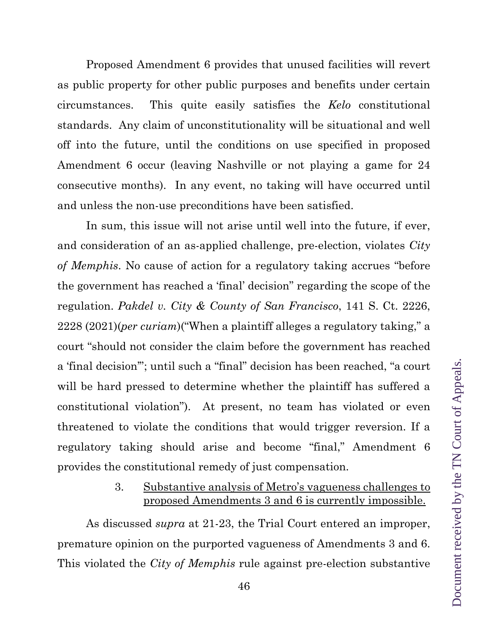Proposed Amendment 6 provides that unused facilities will revert as public property for other public purposes and benefits under certain circumstances. This quite easily satisfies the *Kelo* constitutional standards. Any claim of unconstitutionality will be situational and well off into the future, until the conditions on use specified in proposed Amendment 6 occur (leaving Nashville or not playing a game for 24 consecutive months). In any event, no taking will have occurred until and unless the non-use preconditions have been satisfied.

In sum, this issue will not arise until well into the future, if ever, and consideration of an as-applied challenge, pre-election, violates *City of Memphis*. No cause of action for a regulatory taking accrues "before the government has reached a 'final' decision" regarding the scope of the regulation. *Pakdel v. City & County of San Francisco*, 141 S. Ct. 2226, 2228 (2021)(*per curiam*)("When a plaintiff alleges a regulatory taking," a court "should not consider the claim before the government has reached a 'final decision'"; until such a "final" decision has been reached, "a court will be hard pressed to determine whether the plaintiff has suffered a constitutional violation"). At present, no team has violated or even threatened to violate the conditions that would trigger reversion. If a regulatory taking should arise and become "final," Amendment 6 provides the constitutional remedy of just compensation.

## 3. Substantive analysis of Metro's vagueness challenges to proposed Amendments 3 and 6 is currently impossible.

As discussed *supra* at 21-23, the Trial Court entered an improper, premature opinion on the purported vagueness of Amendments 3 and 6. This violated the *City of Memphis* rule against pre-election substantive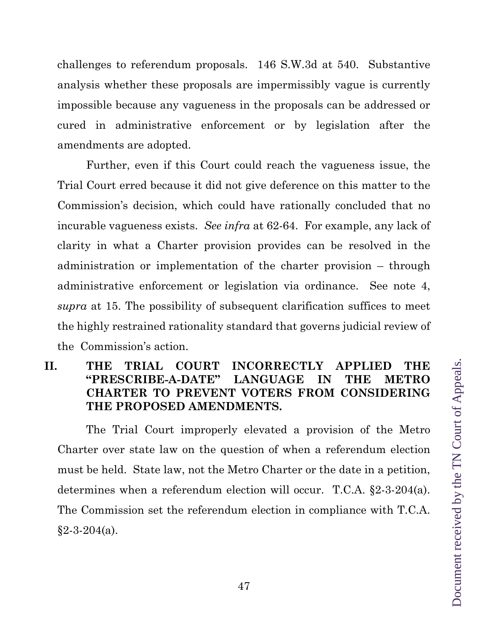challenges to referendum proposals. 146 S.W.3d at 540. Substantive analysis whether these proposals are impermissibly vague is currently impossible because any vagueness in the proposals can be addressed or cured in administrative enforcement or by legislation after the amendments are adopted.

Further, even if this Court could reach the vagueness issue, the Trial Court erred because it did not give deference on this matter to the Commission's decision, which could have rationally concluded that no incurable vagueness exists. *See infra* at 62-64. For example, any lack of clarity in what a Charter provision provides can be resolved in the administration or implementation of the charter provision – through administrative enforcement or legislation via ordinance. See note 4, *supra* at 15. The possibility of subsequent clarification suffices to meet the highly restrained rationality standard that governs judicial review of the Commission's action.

# **II. THE TRIAL COURT INCORRECTLY APPLIED THE "PRESCRIBE-A-DATE" LANGUAGE IN THE METRO CHARTER TO PREVENT VOTERS FROM CONSIDERING THE PROPOSED AMENDMENTS.**

The Trial Court improperly elevated a provision of the Metro Charter over state law on the question of when a referendum election must be held. State law, not the Metro Charter or the date in a petition, determines when a referendum election will occur. T.C.A. §2-3-204(a). The Commission set the referendum election in compliance with T.C.A.  $§2 - 3 - 204(a).$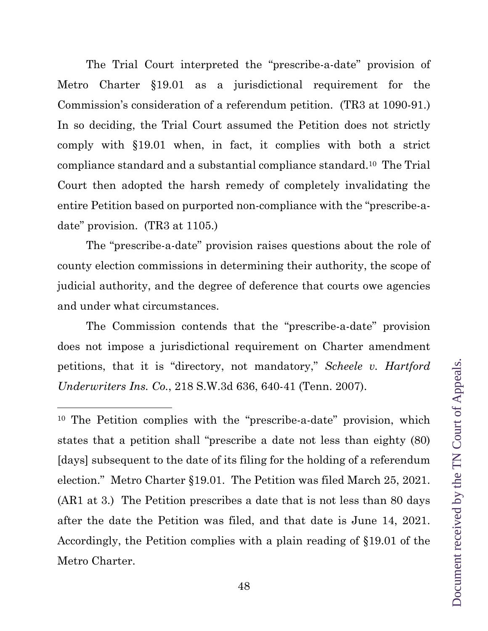The Trial Court interpreted the "prescribe-a-date" provision of Metro Charter §19.01 as a jurisdictional requirement for the Commission's consideration of a referendum petition. (TR3 at 1090-91.) In so deciding, the Trial Court assumed the Petition does not strictly comply with §19.01 when, in fact, it complies with both a strict compliance standard and a substantial compliance standard.10 The Trial Court then adopted the harsh remedy of completely invalidating the entire Petition based on purported non-compliance with the "prescribe-adate" provision. (TR3 at 1105.)

The "prescribe-a-date" provision raises questions about the role of county election commissions in determining their authority, the scope of judicial authority, and the degree of deference that courts owe agencies and under what circumstances.

The Commission contends that the "prescribe-a-date" provision does not impose a jurisdictional requirement on Charter amendment petitions, that it is "directory, not mandatory," *Scheele v. Hartford Underwriters Ins. Co.*, 218 S.W.3d 636, 640-41 (Tenn. 2007).

10 The Petition complies with the "prescribe-a-date" provision, which states that a petition shall "prescribe a date not less than eighty (80) [days] subsequent to the date of its filing for the holding of a referendum election." Metro Charter §19.01. The Petition was filed March 25, 2021. (AR1 at 3.) The Petition prescribes a date that is not less than 80 days after the date the Petition was filed, and that date is June 14, 2021. Accordingly, the Petition complies with a plain reading of §19.01 of the Metro Charter.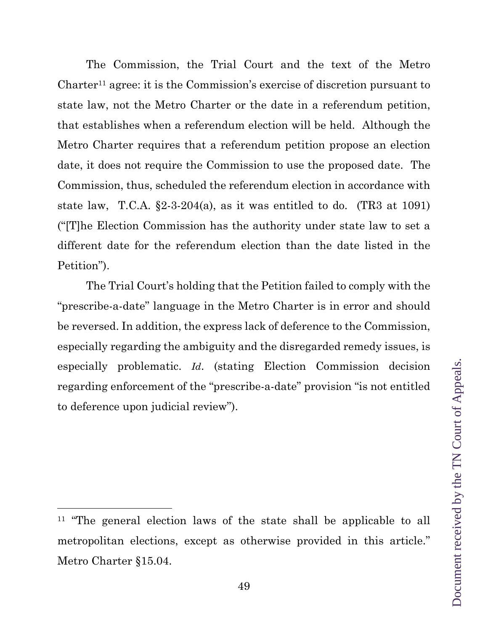The Commission, the Trial Court and the text of the Metro Charter11 agree: it is the Commission's exercise of discretion pursuant to state law, not the Metro Charter or the date in a referendum petition, that establishes when a referendum election will be held. Although the Metro Charter requires that a referendum petition propose an election date, it does not require the Commission to use the proposed date. The Commission, thus, scheduled the referendum election in accordance with state law, T.C.A.  $\S2-3-204(a)$ , as it was entitled to do. (TR3 at 1091) ("[T]he Election Commission has the authority under state law to set a different date for the referendum election than the date listed in the Petition").

The Trial Court's holding that the Petition failed to comply with the "prescribe-a-date" language in the Metro Charter is in error and should be reversed. In addition, the express lack of deference to the Commission, especially regarding the ambiguity and the disregarded remedy issues, is especially problematic. *Id*. (stating Election Commission decision regarding enforcement of the "prescribe-a-date" provision "is not entitled to deference upon judicial review").

<sup>&</sup>lt;sup>11</sup> "The general election laws of the state shall be applicable to all metropolitan elections, except as otherwise provided in this article." Metro Charter §15.04.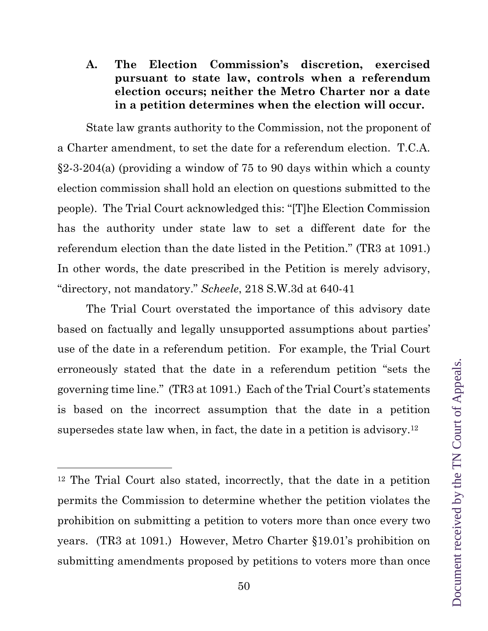State law grants authority to the Commission, not the proponent of a Charter amendment, to set the date for a referendum election. T.C.A. §2-3-204(a) (providing a window of 75 to 90 days within which a county election commission shall hold an election on questions submitted to the people). The Trial Court acknowledged this: "[T]he Election Commission has the authority under state law to set a different date for the referendum election than the date listed in the Petition." (TR3 at 1091.) In other words, the date prescribed in the Petition is merely advisory, "directory, not mandatory." *Scheele*, 218 S.W.3d at 640-41

The Trial Court overstated the importance of this advisory date based on factually and legally unsupported assumptions about parties' use of the date in a referendum petition. For example, the Trial Court erroneously stated that the date in a referendum petition "sets the governing time line." (TR3 at 1091.) Each of the Trial Court's statements is based on the incorrect assumption that the date in a petition supersedes state law when, in fact, the date in a petition is advisory.12

<sup>12</sup> The Trial Court also stated, incorrectly, that the date in a petition permits the Commission to determine whether the petition violates the prohibition on submitting a petition to voters more than once every two years. (TR3 at 1091.) However, Metro Charter §19.01's prohibition on submitting amendments proposed by petitions to voters more than once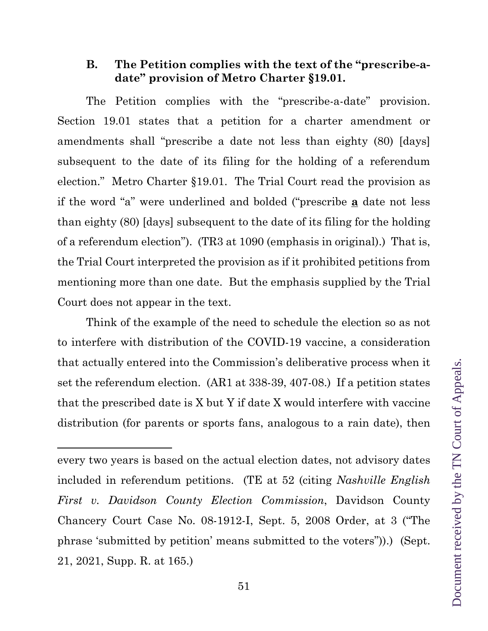### **B. The Petition complies with the text of the "prescribe-adate" provision of Metro Charter §19.01.**

The Petition complies with the "prescribe-a-date" provision. Section 19.01 states that a petition for a charter amendment or amendments shall "prescribe a date not less than eighty (80) [days] subsequent to the date of its filing for the holding of a referendum election." Metro Charter §19.01. The Trial Court read the provision as if the word "a" were underlined and bolded ("prescribe **a** date not less than eighty (80) [days] subsequent to the date of its filing for the holding of a referendum election"). (TR3 at 1090 (emphasis in original).) That is, the Trial Court interpreted the provision as if it prohibited petitions from mentioning more than one date. But the emphasis supplied by the Trial Court does not appear in the text.

Think of the example of the need to schedule the election so as not to interfere with distribution of the COVID-19 vaccine, a consideration that actually entered into the Commission's deliberative process when it set the referendum election. (AR1 at 338-39, 407-08.) If a petition states that the prescribed date is X but Y if date X would interfere with vaccine distribution (for parents or sports fans, analogous to a rain date), then

every two years is based on the actual election dates, not advisory dates included in referendum petitions. (TE at 52 (citing *Nashville English First v. Davidson County Election Commission*, Davidson County Chancery Court Case No. 08-1912-I, Sept. 5, 2008 Order, at 3 ("The phrase 'submitted by petition' means submitted to the voters")).) (Sept. 21, 2021, Supp. R. at 165.)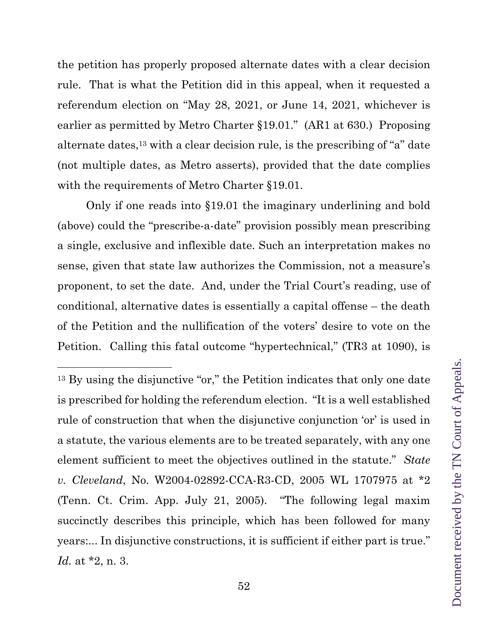the petition has properly proposed alternate dates with a clear decision rule. That is what the Petition did in this appeal, when it requested a referendum election on "May 28, 2021, or June 14, 2021, whichever is earlier as permitted by Metro Charter §19.01." (AR1 at 630.) Proposing alternate dates,13 with a clear decision rule, is the prescribing of "a" date (not multiple dates, as Metro asserts), provided that the date complies with the requirements of Metro Charter §19.01.

Only if one reads into §19.01 the imaginary underlining and bold (above) could the "prescribe-a-date" provision possibly mean prescribing a single, exclusive and inflexible date. Such an interpretation makes no sense, given that state law authorizes the Commission, not a measure's proponent, to set the date. And, under the Trial Court's reading, use of conditional, alternative dates is essentially a capital offense – the death of the Petition and the nullification of the voters' desire to vote on the Petition. Calling this fatal outcome "hypertechnical," (TR3 at 1090), is

<sup>&</sup>lt;sup>13</sup> By using the disjunctive "or," the Petition indicates that only one date is prescribed for holding the referendum election. "It is a well established rule of construction that when the disjunctive conjunction 'or' is used in a statute, the various elements are to be treated separately, with any one element sufficient to meet the objectives outlined in the statute." *State v. Cleveland*, No. W2004-02892-CCA-R3-CD, 2005 WL 1707975 at \*2 (Tenn. Ct. Crim. App. July 21, 2005). "The following legal maxim succinctly describes this principle, which has been followed for many years:... In disjunctive constructions, it is sufficient if either part is true." *Id.* at \*2, n. 3.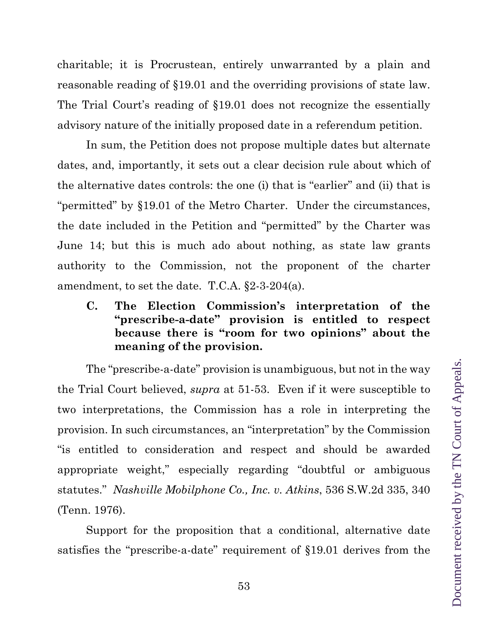charitable; it is Procrustean, entirely unwarranted by a plain and reasonable reading of §19.01 and the overriding provisions of state law. The Trial Court's reading of §19.01 does not recognize the essentially advisory nature of the initially proposed date in a referendum petition.

In sum, the Petition does not propose multiple dates but alternate dates, and, importantly, it sets out a clear decision rule about which of the alternative dates controls: the one (i) that is "earlier" and (ii) that is "permitted" by §19.01 of the Metro Charter. Under the circumstances, the date included in the Petition and "permitted" by the Charter was June 14; but this is much ado about nothing, as state law grants authority to the Commission, not the proponent of the charter amendment, to set the date. T.C.A. §2-3-204(a).

**C. The Election Commission's interpretation of the "prescribe-a-date" provision is entitled to respect because there is "room for two opinions" about the meaning of the provision.** 

The "prescribe-a-date" provision is unambiguous, but not in the way the Trial Court believed, *supra* at 51-53. Even if it were susceptible to two interpretations, the Commission has a role in interpreting the provision. In such circumstances, an "interpretation" by the Commission "is entitled to consideration and respect and should be awarded appropriate weight," especially regarding "doubtful or ambiguous statutes." *Nashville Mobilphone Co., Inc. v. Atkins*, 536 S.W.2d 335, 340 (Tenn. 1976).

Support for the proposition that a conditional, alternative date satisfies the "prescribe-a-date" requirement of §19.01 derives from the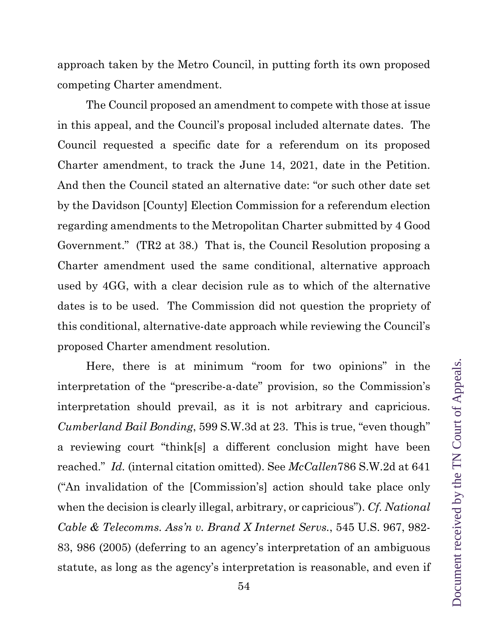approach taken by the Metro Council, in putting forth its own proposed competing Charter amendment.

The Council proposed an amendment to compete with those at issue in this appeal, and the Council's proposal included alternate dates. The Council requested a specific date for a referendum on its proposed Charter amendment, to track the June 14, 2021, date in the Petition. And then the Council stated an alternative date: "or such other date set by the Davidson [County] Election Commission for a referendum election regarding amendments to the Metropolitan Charter submitted by 4 Good Government." (TR2 at 38.) That is, the Council Resolution proposing a Charter amendment used the same conditional, alternative approach used by 4GG, with a clear decision rule as to which of the alternative dates is to be used. The Commission did not question the propriety of this conditional, alternative-date approach while reviewing the Council's proposed Charter amendment resolution.

Here, there is at minimum "room for two opinions" in the interpretation of the "prescribe-a-date" provision, so the Commission's interpretation should prevail, as it is not arbitrary and capricious. *Cumberland Bail Bonding*, 599 S.W.3d at 23. This is true, "even though" a reviewing court "think[s] a different conclusion might have been reached." *Id.* (internal citation omitted). See *McCallen*786 S.W.2d at 641 ("An invalidation of the [Commission's] action should take place only when the decision is clearly illegal, arbitrary, or capricious"). *Cf. National Cable & Telecomms. Ass'n v. Brand X Internet Servs.*, 545 U.S. 967, 982- 83, 986 (2005) (deferring to an agency's interpretation of an ambiguous statute, as long as the agency's interpretation is reasonable, and even if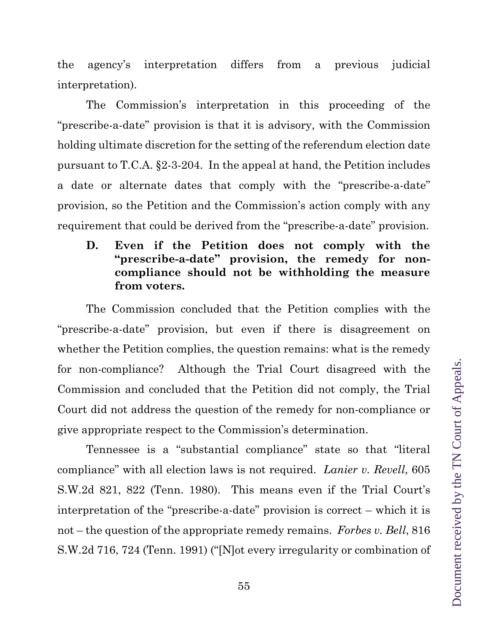the agency's interpretation differs from a previous judicial interpretation).

The Commission's interpretation in this proceeding of the "prescribe-a-date" provision is that it is advisory, with the Commission holding ultimate discretion for the setting of the referendum election date pursuant to T.C.A. §2-3-204. In the appeal at hand, the Petition includes a date or alternate dates that comply with the "prescribe-a-date" provision, so the Petition and the Commission's action comply with any requirement that could be derived from the "prescribe-a-date" provision.

**D. Even if the Petition does not comply with the "prescribe-a-date" provision, the remedy for noncompliance should not be withholding the measure from voters.** 

The Commission concluded that the Petition complies with the "prescribe-a-date" provision, but even if there is disagreement on whether the Petition complies, the question remains: what is the remedy for non-compliance? Although the Trial Court disagreed with the Commission and concluded that the Petition did not comply, the Trial Court did not address the question of the remedy for non-compliance or give appropriate respect to the Commission's determination.

Tennessee is a "substantial compliance" state so that "literal compliance" with all election laws is not required. *Lanier v. Revell*, 605 S.W.2d 821, 822 (Tenn. 1980). This means even if the Trial Court's interpretation of the "prescribe-a-date" provision is correct – which it is not – the question of the appropriate remedy remains. *Forbes v. Bell*, 816 S.W.2d 716, 724 (Tenn. 1991) ("[N]ot every irregularity or combination of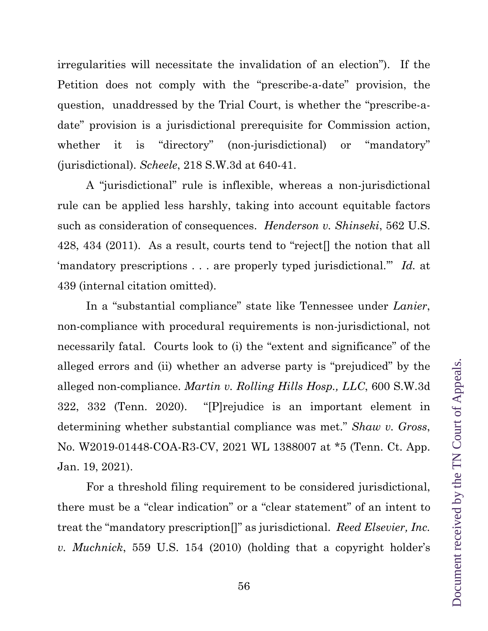irregularities will necessitate the invalidation of an election"). If the Petition does not comply with the "prescribe-a-date" provision, the question, unaddressed by the Trial Court, is whether the "prescribe-adate" provision is a jurisdictional prerequisite for Commission action, whether it is "directory" (non-jurisdictional) or "mandatory" (jurisdictional). *Scheele*, 218 S.W.3d at 640-41.

A "jurisdictional" rule is inflexible, whereas a non-jurisdictional rule can be applied less harshly, taking into account equitable factors such as consideration of consequences. *Henderson v. Shinseki*, 562 U.S. 428, 434 (2011). As a result, courts tend to "reject[] the notion that all 'mandatory prescriptions . . . are properly typed jurisdictional.'" *Id.* at 439 (internal citation omitted).

In a "substantial compliance" state like Tennessee under *Lanier*, non-compliance with procedural requirements is non-jurisdictional, not necessarily fatal. Courts look to (i) the "extent and significance" of the alleged errors and (ii) whether an adverse party is "prejudiced" by the alleged non-compliance. *Martin v. Rolling Hills Hosp., LLC*, 600 S.W.3d 322, 332 (Tenn. 2020). "[P]rejudice is an important element in determining whether substantial compliance was met." *Shaw v. Gross*, No. W2019-01448-COA-R3-CV, 2021 WL 1388007 at \*5 (Tenn. Ct. App. Jan. 19, 2021).

For a threshold filing requirement to be considered jurisdictional, there must be a "clear indication" or a "clear statement" of an intent to treat the "mandatory prescription[]" as jurisdictional. *Reed Elsevier, Inc. v. Muchnick*, 559 U.S. 154 (2010) (holding that a copyright holder's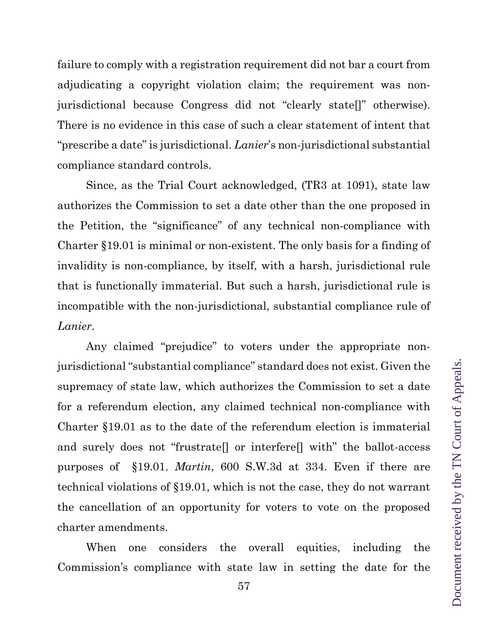failure to comply with a registration requirement did not bar a court from adjudicating a copyright violation claim; the requirement was nonjurisdictional because Congress did not "clearly state[]" otherwise). There is no evidence in this case of such a clear statement of intent that "prescribe a date" is jurisdictional. *Lanier*'s non-jurisdictional substantial compliance standard controls.

Since, as the Trial Court acknowledged, (TR3 at 1091), state law authorizes the Commission to set a date other than the one proposed in the Petition, the "significance" of any technical non-compliance with Charter §19.01 is minimal or non-existent. The only basis for a finding of invalidity is non-compliance, by itself, with a harsh, jurisdictional rule that is functionally immaterial. But such a harsh, jurisdictional rule is incompatible with the non-jurisdictional, substantial compliance rule of *Lanier*.

Any claimed "prejudice" to voters under the appropriate nonjurisdictional "substantial compliance" standard does not exist. Given the supremacy of state law, which authorizes the Commission to set a date for a referendum election, any claimed technical non-compliance with Charter §19.01 as to the date of the referendum election is immaterial and surely does not "frustrate[] or interfere[] with" the ballot-access purposes of §19.01. *Martin*, 600 S.W.3d at 334. Even if there are technical violations of §19.01, which is not the case, they do not warrant the cancellation of an opportunity for voters to vote on the proposed charter amendments.

When one considers the overall equities, including the Commission's compliance with state law in setting the date for the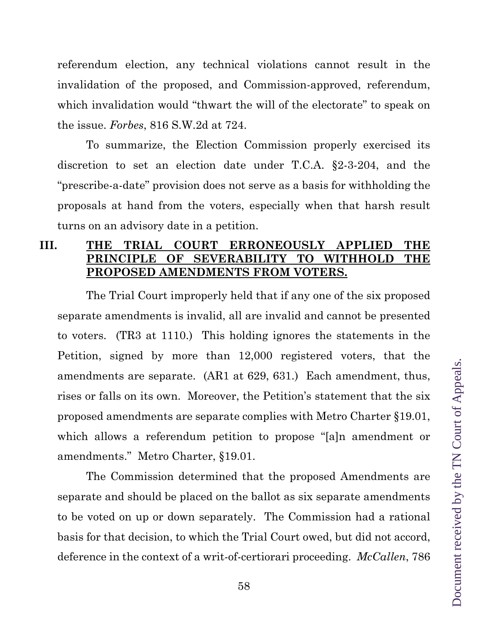referendum election, any technical violations cannot result in the invalidation of the proposed, and Commission-approved, referendum, which invalidation would "thwart the will of the electorate" to speak on the issue. *Forbes*, 816 S.W.2d at 724.

To summarize, the Election Commission properly exercised its discretion to set an election date under T.C.A. §2-3-204, and the "prescribe-a-date" provision does not serve as a basis for withholding the proposals at hand from the voters, especially when that harsh result turns on an advisory date in a petition.

# **III. THE TRIAL COURT ERRONEOUSLY APPLIED THE PRINCIPLE OF SEVERABILITY TO WITHHOLD THE PROPOSED AMENDMENTS FROM VOTERS.**

The Trial Court improperly held that if any one of the six proposed separate amendments is invalid, all are invalid and cannot be presented to voters. (TR3 at 1110.) This holding ignores the statements in the Petition, signed by more than 12,000 registered voters, that the amendments are separate. (AR1 at 629, 631.) Each amendment, thus, rises or falls on its own. Moreover, the Petition's statement that the six proposed amendments are separate complies with Metro Charter §19.01, which allows a referendum petition to propose "[a]n amendment or amendments." Metro Charter, §19.01.

The Commission determined that the proposed Amendments are separate and should be placed on the ballot as six separate amendments to be voted on up or down separately. The Commission had a rational basis for that decision, to which the Trial Court owed, but did not accord, deference in the context of a writ-of-certiorari proceeding. *McCallen*, 786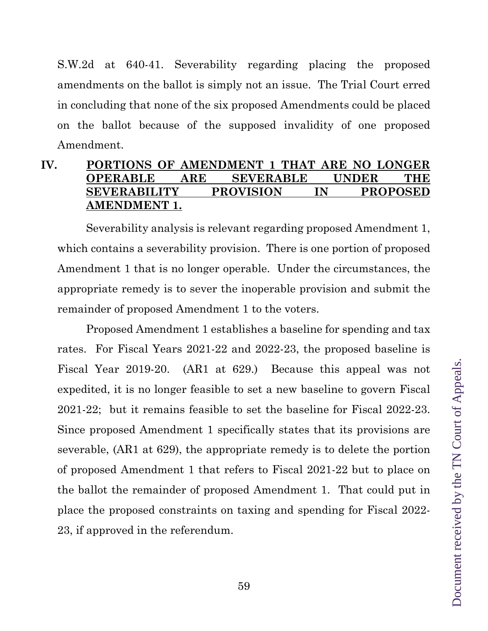S.W.2d at 640-41. Severability regarding placing the proposed amendments on the ballot is simply not an issue. The Trial Court erred in concluding that none of the six proposed Amendments could be placed on the ballot because of the supposed invalidity of one proposed Amendment.

## **IV. PORTIONS OF AMENDMENT 1 THAT ARE NO LONGER OPERABLE ARE SEVERABLE UNDER THE SEVERABILITY PROVISION IN PROPOSED AMENDMENT 1.**

Severability analysis is relevant regarding proposed Amendment 1, which contains a severability provision. There is one portion of proposed Amendment 1 that is no longer operable. Under the circumstances, the appropriate remedy is to sever the inoperable provision and submit the remainder of proposed Amendment 1 to the voters.

Proposed Amendment 1 establishes a baseline for spending and tax rates. For Fiscal Years 2021-22 and 2022-23, the proposed baseline is Fiscal Year 2019-20. (AR1 at 629.) Because this appeal was not expedited, it is no longer feasible to set a new baseline to govern Fiscal 2021-22; but it remains feasible to set the baseline for Fiscal 2022-23. Since proposed Amendment 1 specifically states that its provisions are severable, (AR1 at 629), the appropriate remedy is to delete the portion of proposed Amendment 1 that refers to Fiscal 2021-22 but to place on the ballot the remainder of proposed Amendment 1. That could put in place the proposed constraints on taxing and spending for Fiscal 2022- 23, if approved in the referendum.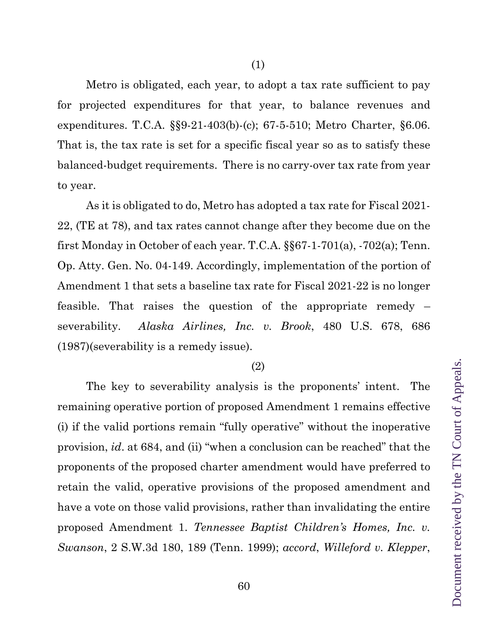Metro is obligated, each year, to adopt a tax rate sufficient to pay for projected expenditures for that year, to balance revenues and expenditures. T.C.A. §§9-21-403(b)-(c); 67-5-510; Metro Charter, §6.06. That is, the tax rate is set for a specific fiscal year so as to satisfy these balanced-budget requirements. There is no carry-over tax rate from year to year.

As it is obligated to do, Metro has adopted a tax rate for Fiscal 2021- 22, (TE at 78), and tax rates cannot change after they become due on the first Monday in October of each year. T.C.A. §§67-1-701(a), -702(a); Tenn. Op. Atty. Gen. No. 04-149. Accordingly, implementation of the portion of Amendment 1 that sets a baseline tax rate for Fiscal 2021-22 is no longer feasible. That raises the question of the appropriate remedy – severability. *Alaska Airlines, Inc. v. Brook*, 480 U.S. 678, 686 (1987)(severability is a remedy issue).

#### (2)

The key to severability analysis is the proponents' intent. The remaining operative portion of proposed Amendment 1 remains effective (i) if the valid portions remain "fully operative" without the inoperative provision, *id*. at 684, and (ii) "when a conclusion can be reached" that the proponents of the proposed charter amendment would have preferred to retain the valid, operative provisions of the proposed amendment and have a vote on those valid provisions, rather than invalidating the entire proposed Amendment 1. *Tennessee Baptist Children's Homes, Inc. v. Swanson*, 2 S.W.3d 180, 189 (Tenn. 1999); *accord*, *Willeford v. Klepper*,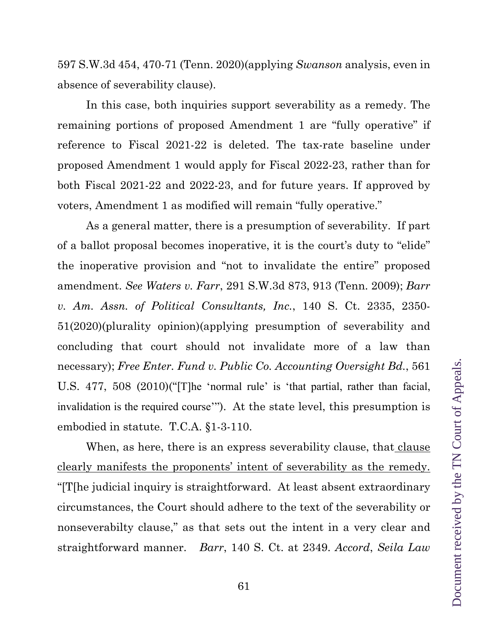597 S.W.3d 454, 470-71 (Tenn. 2020)(applying *Swanson* analysis, even in absence of severability clause).

In this case, both inquiries support severability as a remedy. The remaining portions of proposed Amendment 1 are "fully operative" if reference to Fiscal 2021-22 is deleted. The tax-rate baseline under proposed Amendment 1 would apply for Fiscal 2022-23, rather than for both Fiscal 2021-22 and 2022-23, and for future years. If approved by voters, Amendment 1 as modified will remain "fully operative."

As a general matter, there is a presumption of severability. If part of a ballot proposal becomes inoperative, it is the court's duty to "elide" the inoperative provision and "not to invalidate the entire" proposed amendment. *See Waters v. Farr*, 291 S.W.3d 873, 913 (Tenn. 2009); *Barr v. Am. Assn. of Political Consultants, Inc.*, 140 S. Ct. 2335, 2350- 51(2020)(plurality opinion)(applying presumption of severability and concluding that court should not invalidate more of a law than necessary); *Free Enter. Fund v. Public Co. Accounting Oversight Bd.*, 561 U.S. 477, 508 (2010)("[T]he 'normal rule' is 'that partial, rather than facial, invalidation is the required course'"). At the state level, this presumption is embodied in statute. T.C.A. §1-3-110.

When, as here, there is an express severability clause, that clause clearly manifests the proponents' intent of severability as the remedy. "[T[he judicial inquiry is straightforward. At least absent extraordinary circumstances, the Court should adhere to the text of the severability or nonseverabilty clause," as that sets out the intent in a very clear and straightforward manner. *Barr*, 140 S. Ct. at 2349. *Accord*, *Seila Law*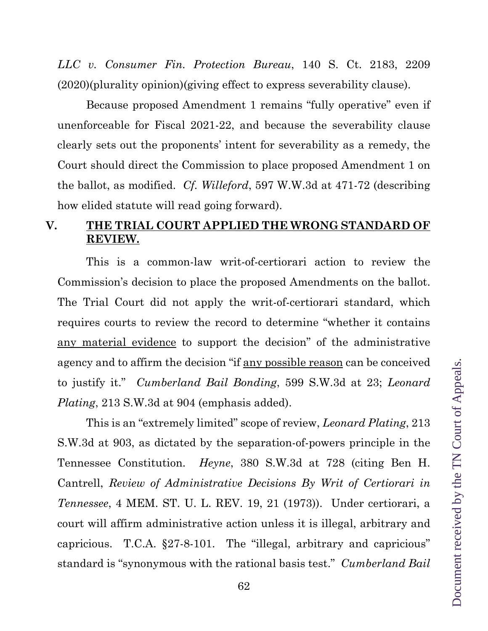*LLC v. Consumer Fin. Protection Bureau*, 140 S. Ct. 2183, 2209 (2020)(plurality opinion)(giving effect to express severability clause).

Because proposed Amendment 1 remains "fully operative" even if unenforceable for Fiscal 2021-22, and because the severability clause clearly sets out the proponents' intent for severability as a remedy, the Court should direct the Commission to place proposed Amendment 1 on the ballot, as modified. *Cf. Willeford*, 597 W.W.3d at 471-72 (describing how elided statute will read going forward).

## **V. THE TRIAL COURT APPLIED THE WRONG STANDARD OF REVIEW.**

This is a common-law writ-of-certiorari action to review the Commission's decision to place the proposed Amendments on the ballot. The Trial Court did not apply the writ-of-certiorari standard, which requires courts to review the record to determine "whether it contains any material evidence to support the decision" of the administrative agency and to affirm the decision "if any possible reason can be conceived to justify it." *Cumberland Bail Bonding*, 599 S.W.3d at 23; *Leonard Plating*, 213 S.W.3d at 904 (emphasis added).

This is an "extremely limited" scope of review, *Leonard Plating*, 213 S.W.3d at 903, as dictated by the separation-of-powers principle in the Tennessee Constitution. *Heyne*, 380 S.W.3d at 728 (citing Ben H. Cantrell, *Review of Administrative Decisions By Writ of Certiorari in Tennessee*, 4 MEM. ST. U. L. REV. 19, 21 (1973)). Under certiorari, a court will affirm administrative action unless it is illegal, arbitrary and capricious. T.C.A. §27-8-101. The "illegal, arbitrary and capricious" standard is "synonymous with the rational basis test." *Cumberland Bail*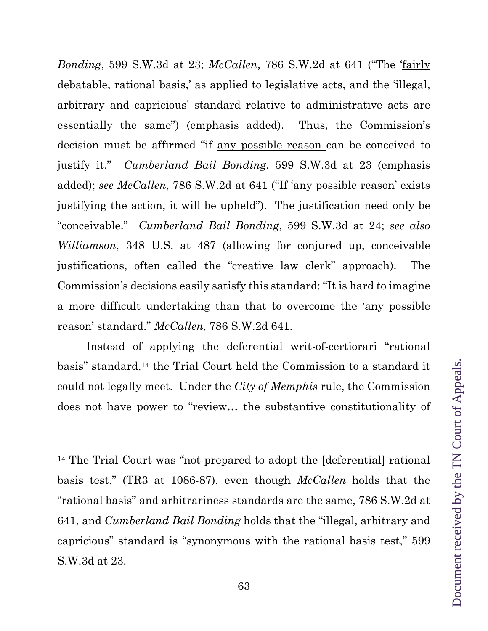*Bonding*, 599 S.W.3d at 23; *McCallen*, 786 S.W.2d at 641 ("The 'fairly debatable, rational basis,' as applied to legislative acts, and the 'illegal, arbitrary and capricious' standard relative to administrative acts are essentially the same") (emphasis added). Thus, the Commission's decision must be affirmed "if any possible reason can be conceived to justify it." *Cumberland Bail Bonding*, 599 S.W.3d at 23 (emphasis added); *see McCallen*, 786 S.W.2d at 641 ("If 'any possible reason' exists justifying the action, it will be upheld"). The justification need only be "conceivable." *Cumberland Bail Bonding*, 599 S.W.3d at 24; *see also Williamson*, 348 U.S. at 487 (allowing for conjured up, conceivable justifications, often called the "creative law clerk" approach). The Commission's decisions easily satisfy this standard: "It is hard to imagine a more difficult undertaking than that to overcome the 'any possible reason' standard." *McCallen*, 786 S.W.2d 641.

Instead of applying the deferential writ-of-certiorari "rational basis" standard,14 the Trial Court held the Commission to a standard it could not legally meet. Under the *City of Memphis* rule, the Commission does not have power to "review… the substantive constitutionality of

<sup>14</sup> The Trial Court was "not prepared to adopt the [deferential] rational basis test," (TR3 at 1086-87), even though *McCallen* holds that the "rational basis" and arbitrariness standards are the same, 786 S.W.2d at 641, and *Cumberland Bail Bonding* holds that the "illegal, arbitrary and capricious" standard is "synonymous with the rational basis test," 599 S.W.3d at 23.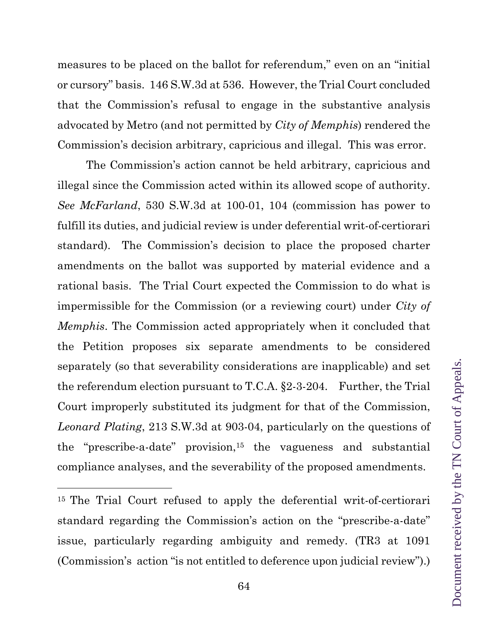measures to be placed on the ballot for referendum," even on an "initial or cursory" basis. 146 S.W.3d at 536. However, the Trial Court concluded that the Commission's refusal to engage in the substantive analysis advocated by Metro (and not permitted by *City of Memphis*) rendered the Commission's decision arbitrary, capricious and illegal. This was error.

The Commission's action cannot be held arbitrary, capricious and illegal since the Commission acted within its allowed scope of authority. *See McFarland*, 530 S.W.3d at 100-01, 104 (commission has power to fulfill its duties, and judicial review is under deferential writ-of-certiorari standard). The Commission's decision to place the proposed charter amendments on the ballot was supported by material evidence and a rational basis. The Trial Court expected the Commission to do what is impermissible for the Commission (or a reviewing court) under *City of Memphis*. The Commission acted appropriately when it concluded that the Petition proposes six separate amendments to be considered separately (so that severability considerations are inapplicable) and set the referendum election pursuant to T.C.A. §2-3-204. Further, the Trial Court improperly substituted its judgment for that of the Commission, *Leonard Plating*, 213 S.W.3d at 903-04, particularly on the questions of the "prescribe-a-date" provision,<sup>15</sup> the vagueness and substantial compliance analyses, and the severability of the proposed amendments.

<sup>&</sup>lt;sup>15</sup> The Trial Court refused to apply the deferential writ-of-certiorari standard regarding the Commission's action on the "prescribe-a-date" issue, particularly regarding ambiguity and remedy. (TR3 at 1091 (Commission's action "is not entitled to deference upon judicial review").)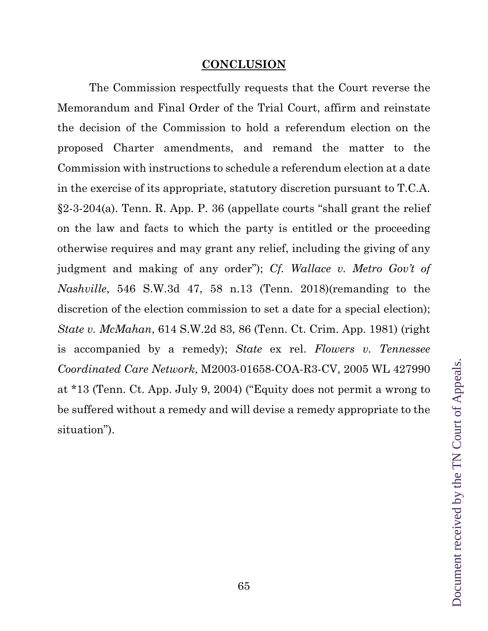## **CONCLUSION**

 The Commission respectfully requests that the Court reverse the Memorandum and Final Order of the Trial Court, affirm and reinstate the decision of the Commission to hold a referendum election on the proposed Charter amendments, and remand the matter to the Commission with instructions to schedule a referendum election at a date in the exercise of its appropriate, statutory discretion pursuant to T.C.A. §2-3-204(a). Tenn. R. App. P. 36 (appellate courts "shall grant the relief on the law and facts to which the party is entitled or the proceeding otherwise requires and may grant any relief, including the giving of any judgment and making of any order"); *Cf. Wallace v. Metro Gov't of Nashville*, 546 S.W.3d 47, 58 n.13 (Tenn. 2018)(remanding to the discretion of the election commission to set a date for a special election); *State v. McMahan*, 614 S.W.2d 83, 86 (Tenn. Ct. Crim. App. 1981) (right is accompanied by a remedy); *State* ex rel. *Flowers v. Tennessee Coordinated Care Network*, M2003-01658-COA-R3-CV, 2005 WL 427990 at \*13 (Tenn. Ct. App. July 9, 2004) ("Equity does not permit a wrong to be suffered without a remedy and will devise a remedy appropriate to the situation").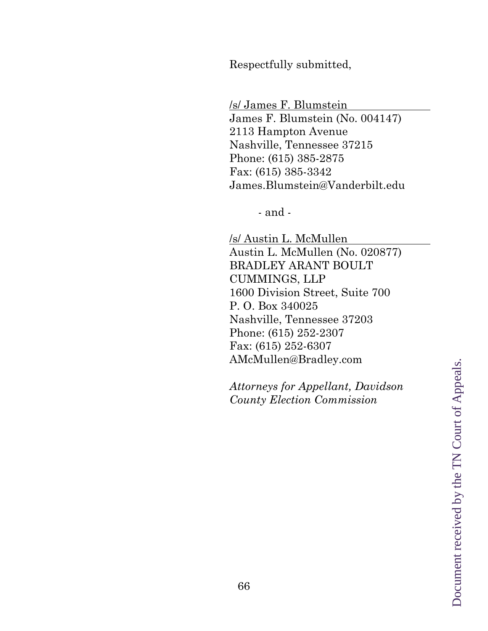Respectfully submitted,

/s/ James F. Blumstein James F. Blumstein (No. 004147) 2113 Hampton Avenue Nashville, Tennessee 37215 Phone: (615) 385-2875 Fax: (615) 385-3342 James.Blumstein@Vanderbilt.edu

- and -

/s/ Austin L. McMullen Austin L. McMullen (No. 020877) BRADLEY ARANT BOULT CUMMINGS, LLP 1600 Division Street, Suite 700 P. O. Box 340025 Nashville, Tennessee 37203 Phone: (615) 252-2307 Fax: (615) 252-6307 AMcMullen@Bradley.com

*Attorneys for Appellant, Davidson County Election Commission*